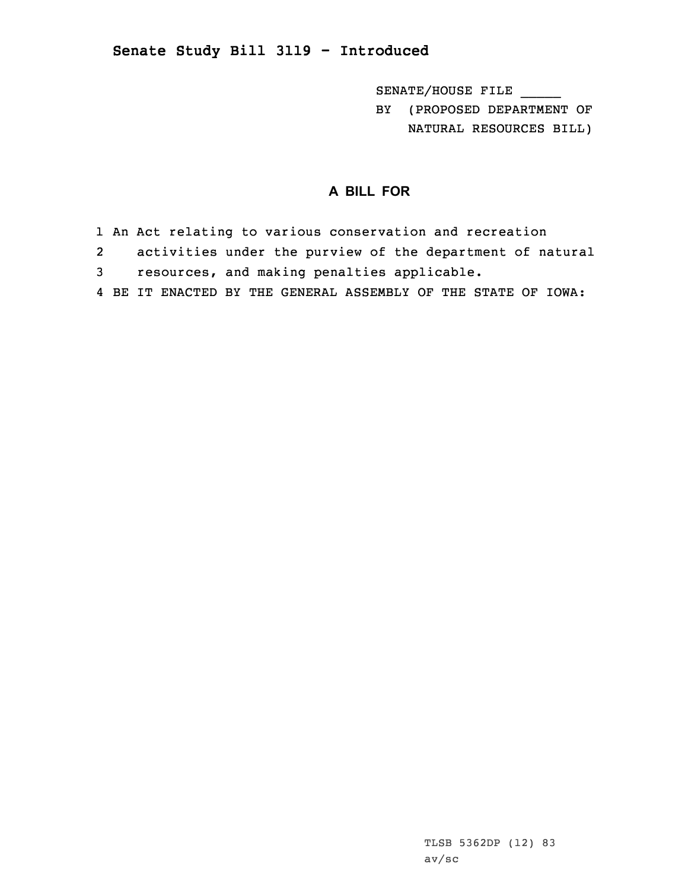## **Senate Study Bill 3119 - Introduced**

SENATE/HOUSE FILE BY (PROPOSED DEPARTMENT OF NATURAL RESOURCES BILL)

## **A BILL FOR**

- 1 An Act relating to various conservation and recreation
- 2activities under the purview of the department of natural
- 3 resources, and making penalties applicable.
- 4 BE IT ENACTED BY THE GENERAL ASSEMBLY OF THE STATE OF IOWA: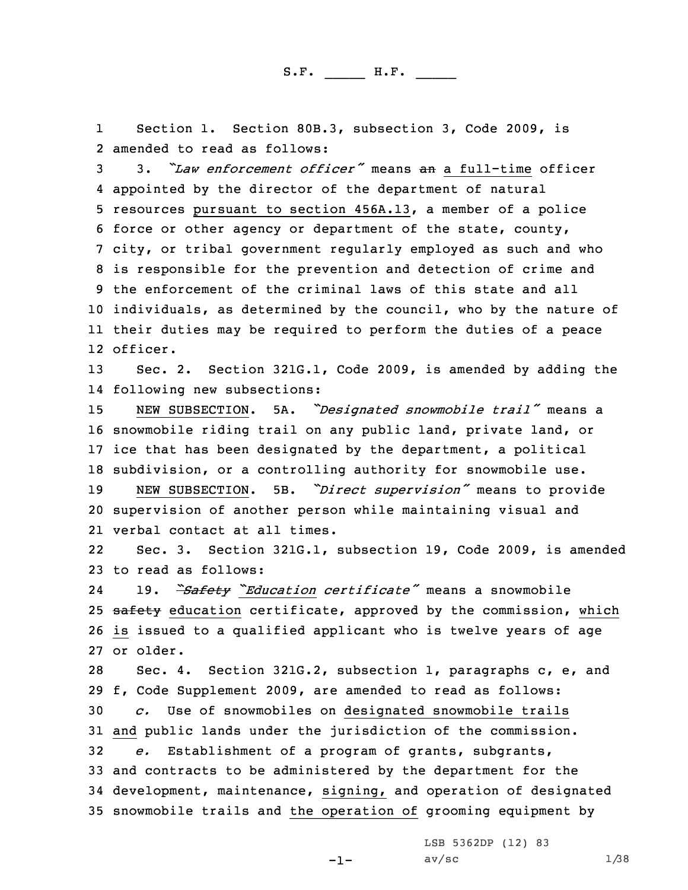1 Section 1. Section 80B.3, subsection 3, Code 2009, is 2 amended to read as follows:

 3. *"Law enforcement officer"* means an <sup>a</sup> full-time officer appointed by the director of the department of natural resources pursuant to section 456A.13, <sup>a</sup> member of <sup>a</sup> police force or other agency or department of the state, county, city, or tribal government regularly employed as such and who is responsible for the prevention and detection of crime and the enforcement of the criminal laws of this state and all individuals, as determined by the council, who by the nature of their duties may be required to perform the duties of <sup>a</sup> peace 12 officer.

13 Sec. 2. Section 321G.1, Code 2009, is amended by adding the 14 following new subsections:

 NEW SUBSECTION. 5A. *"Designated snowmobile trail"* means <sup>a</sup> snowmobile riding trail on any public land, private land, or ice that has been designated by the department, <sup>a</sup> political subdivision, or <sup>a</sup> controlling authority for snowmobile use.

<sup>19</sup> NEW SUBSECTION. 5B. *"Direct supervision"* means to provide 20 supervision of another person while maintaining visual and 21 verbal contact at all times.

22 Sec. 3. Section 321G.1, subsection 19, Code 2009, is amended 23 to read as follows:

24 19. *"Safety "Education certificate"* means <sup>a</sup> snowmobile 25 safety education certificate, approved by the commission, which 26 is issued to <sup>a</sup> qualified applicant who is twelve years of age 27 or older.

 Sec. 4. Section 321G.2, subsection 1, paragraphs c, e, and f, Code Supplement 2009, are amended to read as follows: *c.* Use of snowmobiles on designated snowmobile trails and public lands under the jurisdiction of the commission. *e.* Establishment of <sup>a</sup> program of grants, subgrants, and contracts to be administered by the department for the development, maintenance, signing, and operation of designated snowmobile trails and the operation of grooming equipment by

LSB 5362DP (12) 83

-1-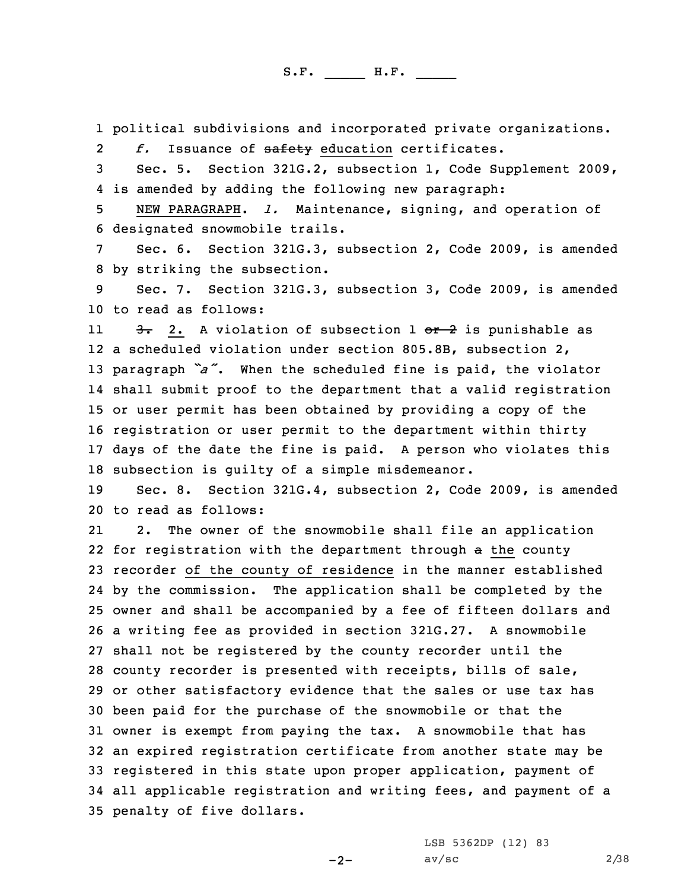1 political subdivisions and incorporated private organizations.

2*f.* Issuance of safety education certificates.

3 Sec. 5. Section 321G.2, subsection 1, Code Supplement 2009, 4 is amended by adding the following new paragraph:

5 NEW PARAGRAPH. *l.* Maintenance, signing, and operation of 6 designated snowmobile trails.

7 Sec. 6. Section 321G.3, subsection 2, Code 2009, is amended 8 by striking the subsection.

9 Sec. 7. Section 321G.3, subsection 3, Code 2009, is amended 10 to read as follows:

113. 2. A violation of subsection 1 or 2 is punishable as <sup>a</sup> scheduled violation under section 805.8B, subsection 2, paragraph *"a"*. When the scheduled fine is paid, the violator shall submit proof to the department that <sup>a</sup> valid registration or user permit has been obtained by providing <sup>a</sup> copy of the registration or user permit to the department within thirty days of the date the fine is paid. <sup>A</sup> person who violates this subsection is guilty of <sup>a</sup> simple misdemeanor.

19 Sec. 8. Section 321G.4, subsection 2, Code 2009, is amended 20 to read as follows:

21 2. The owner of the snowmobile shall file an application 22 for registration with the department through a the county recorder of the county of residence in the manner established by the commission. The application shall be completed by the owner and shall be accompanied by <sup>a</sup> fee of fifteen dollars and <sup>a</sup> writing fee as provided in section 321G.27. <sup>A</sup> snowmobile shall not be registered by the county recorder until the county recorder is presented with receipts, bills of sale, or other satisfactory evidence that the sales or use tax has been paid for the purchase of the snowmobile or that the owner is exempt from paying the tax. <sup>A</sup> snowmobile that has an expired registration certificate from another state may be registered in this state upon proper application, payment of all applicable registration and writing fees, and payment of <sup>a</sup> penalty of five dollars.

LSB 5362DP (12) 83

 $-2-$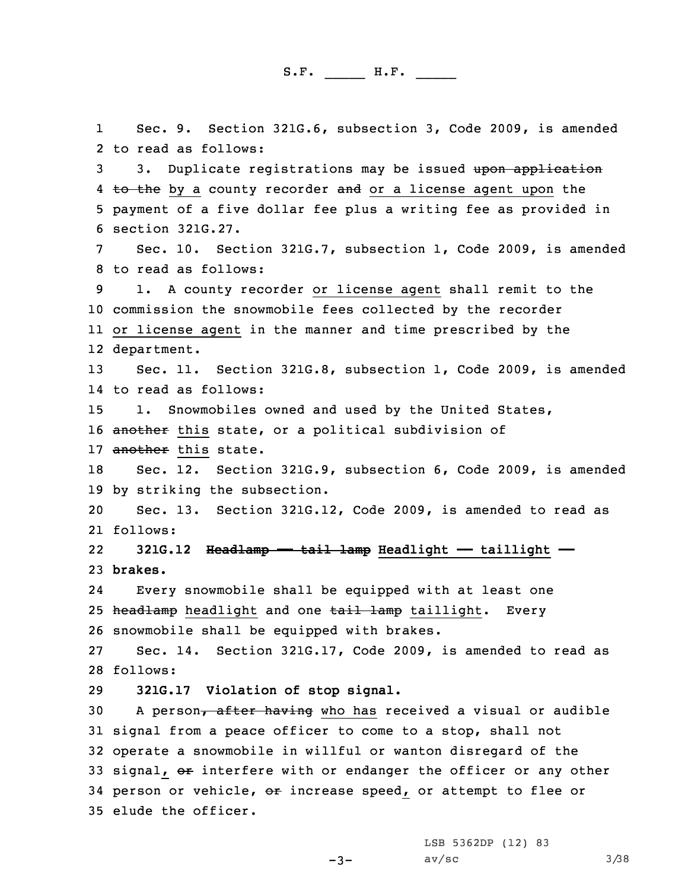1 Sec. 9. Section 321G.6, subsection 3, Code 2009, is amended 2 to read as follows: 3 3. Duplicate registrations may be issued upon application 4 <del>to the</del> by a county recorder <del>and</del> or a license agent upon the 5 payment of <sup>a</sup> five dollar fee plus <sup>a</sup> writing fee as provided in 6 section 321G.27. 7 Sec. 10. Section 321G.7, subsection 1, Code 2009, is amended 8 to read as follows: 9 1. <sup>A</sup> county recorder or license agent shall remit to the 10 commission the snowmobile fees collected by the recorder 11 or license agent in the manner and time prescribed by the 12 department. 13 Sec. 11. Section 321G.8, subsection 1, Code 2009, is amended 14 to read as follows: 15 1. Snowmobiles owned and used by the United States, 16 another this state, or a political subdivision of 17 another this state. 18 Sec. 12. Section 321G.9, subsection 6, Code 2009, is amended 19 by striking the subsection. 20 Sec. 13. Section 321G.12, Code 2009, is amended to read as 21 follows: 22 **321G.12 Headlamp —— tail lamp Headlight —— taillight ——** 23 **brakes.** 24 Every snowmobile shall be equipped with at least one 25 headlamp headlight and one tail lamp taillight. Every 26 snowmobile shall be equipped with brakes. 27 Sec. 14. Section 321G.17, Code 2009, is amended to read as 28 follows: 29 **321G.17 Violation of stop signal.** 30 A person, after having who has received a visual or audible 31 signal from <sup>a</sup> peace officer to come to <sup>a</sup> stop, shall not 32 operate <sup>a</sup> snowmobile in willful or wanton disregard of the 33 signal, or interfere with or endanger the officer or any other 34 person or vehicle, or increase speed, or attempt to flee or 35 elude the officer.

> LSB 5362DP (12) 83  $av/sec$  3/38

-3-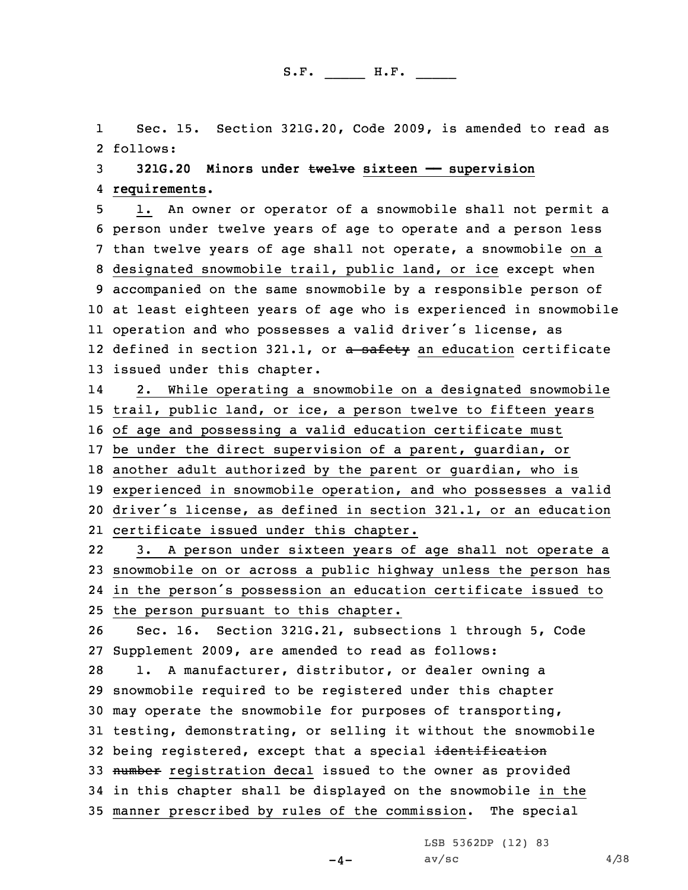1 Sec. 15. Section 321G.20, Code 2009, is amended to read as 2 follows:

3 **321G.20 Minors under twelve sixteen —— supervision** 4 **requirements.**

 1. An owner or operator of <sup>a</sup> snowmobile shall not permit <sup>a</sup> person under twelve years of age to operate and <sup>a</sup> person less than twelve years of age shall not operate, <sup>a</sup> snowmobile on <sup>a</sup> designated snowmobile trail, public land, or ice except when accompanied on the same snowmobile by <sup>a</sup> responsible person of at least eighteen years of age who is experienced in snowmobile operation and who possesses <sup>a</sup> valid driver's license, as 12 defined in section 321.1, or <del>a safety</del> an education certificate issued under this chapter.

14 2. While operating <sup>a</sup> snowmobile on <sup>a</sup> designated snowmobile trail, public land, or ice, <sup>a</sup> person twelve to fifteen years of age and possessing <sup>a</sup> valid education certificate must be under the direct supervision of <sup>a</sup> parent, guardian, or another adult authorized by the parent or guardian, who is experienced in snowmobile operation, and who possesses <sup>a</sup> valid driver's license, as defined in section 321.1, or an education

21 certificate issued under this chapter. 22 3. <sup>A</sup> person under sixteen years of age shall not operate <sup>a</sup> 23 snowmobile on or across <sup>a</sup> public highway unless the person has 24 in the person's possession an education certificate issued to

25 the person pursuant to this chapter.

26 Sec. 16. Section 321G.21, subsections 1 through 5, Code 27 Supplement 2009, are amended to read as follows:

 1. <sup>A</sup> manufacturer, distributor, or dealer owning <sup>a</sup> snowmobile required to be registered under this chapter may operate the snowmobile for purposes of transporting, testing, demonstrating, or selling it without the snowmobile 32 being registered, except that a special identification 33 number registration decal issued to the owner as provided in this chapter shall be displayed on the snowmobile in the manner prescribed by rules of the commission. The special

LSB 5362DP (12) 83

 $-4-$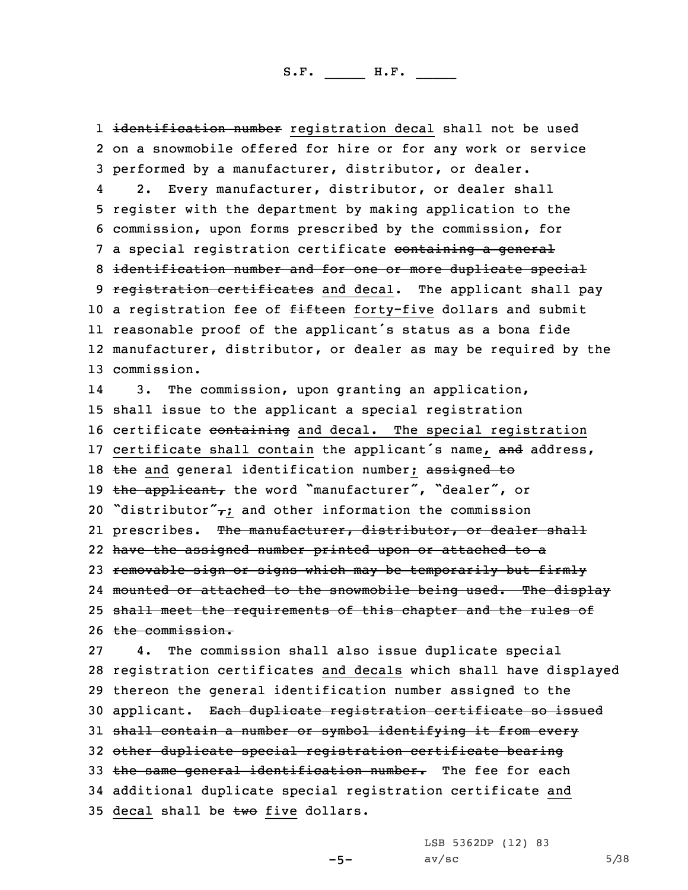1 <del>identification number</del> registration decal shall not be used 2 on <sup>a</sup> snowmobile offered for hire or for any work or service 3 performed by <sup>a</sup> manufacturer, distributor, or dealer.

4 2. Every manufacturer, distributor, or dealer shall 5 register with the department by making application to the 6 commission, upon forms prescribed by the commission, for 7 a special registration certificate containing a general 8 identification number and for one or more duplicate special 9 registration certificates and decal. The applicant shall pay 10 a registration fee of fifteen forty-five dollars and submit 11 reasonable proof of the applicant's status as <sup>a</sup> bona fide 12 manufacturer, distributor, or dealer as may be required by the 13 commission.

14 3. The commission, upon granting an application, 15 shall issue to the applicant <sup>a</sup> special registration 16 certificate containing and decal. The special registration 17 certificate shall contain the applicant's name, and address, 18 the and general identification number; assigned to 19 the applicant, the word "manufacturer", "dealer", or 20 "distributor" $\tau$ ; and other information the commission 21 prescribes. <del>The manufacturer, distributor, or dealer shall</del> 22 have the assigned number printed upon or attached to <sup>a</sup> 23 removable sign or signs which may be temporarily but firmly 24 mounted or attached to the snowmobile being used. The display 25 shall meet the requirements of this chapter and the rules of 26 the commission.

 4. The commission shall also issue duplicate special registration certificates and decals which shall have displayed thereon the general identification number assigned to the applicant. Each duplicate registration certificate so issued shall contain <sup>a</sup> number or symbol identifying it from every other duplicate special registration certificate bearing 33 the same general identification number. The fee for each additional duplicate special registration certificate and 35 decal shall be two five dollars.

LSB 5362DP (12) 83

-5-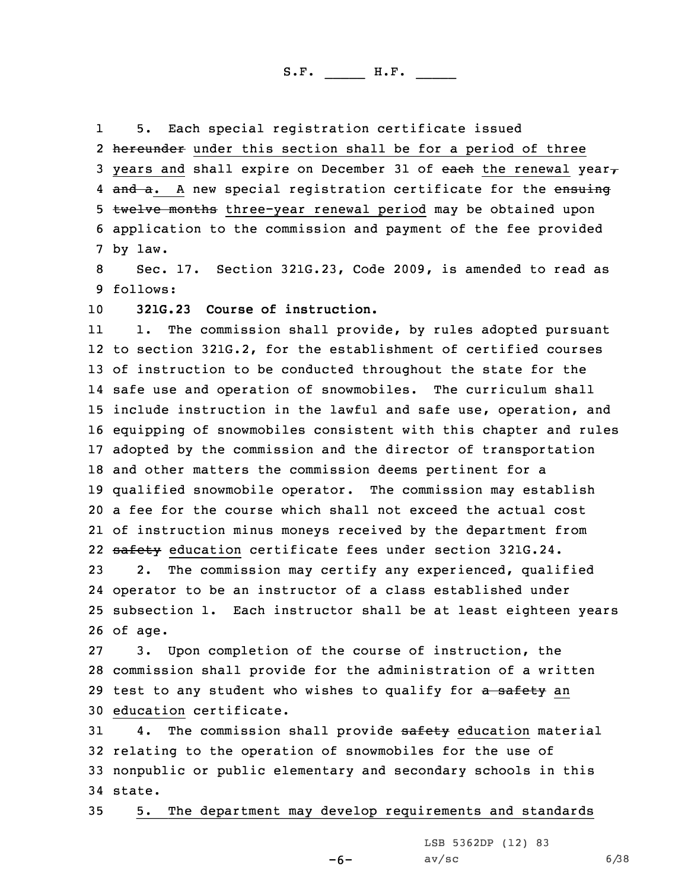15. Each special registration certificate issued

2 hereunder under this section shall be for a period of three 3 years and shall expire on December 31 of each the renewal year, 4 <del>and a</del>. A new special registration certificate for the <del>ensuing</del> 5 twelve months three-year renewal period may be obtained upon 6 application to the commission and payment of the fee provided 7 by law.

8 Sec. 17. Section 321G.23, Code 2009, is amended to read as 9 follows:

10 **321G.23 Course of instruction.**

11 1. The commission shall provide, by rules adopted pursuant to section 321G.2, for the establishment of certified courses of instruction to be conducted throughout the state for the safe use and operation of snowmobiles. The curriculum shall include instruction in the lawful and safe use, operation, and equipping of snowmobiles consistent with this chapter and rules adopted by the commission and the director of transportation and other matters the commission deems pertinent for <sup>a</sup> qualified snowmobile operator. The commission may establish <sup>a</sup> fee for the course which shall not exceed the actual cost of instruction minus moneys received by the department from 22 safety education certificate fees under section 321G.24.

 2. The commission may certify any experienced, qualified operator to be an instructor of <sup>a</sup> class established under subsection 1. Each instructor shall be at least eighteen years 26 of age.

 3. Upon completion of the course of instruction, the commission shall provide for the administration of <sup>a</sup> written 29 test to any student who wishes to qualify for a safety an education certificate.

31 4. The commission shall provide safety education material 32 relating to the operation of snowmobiles for the use of 33 nonpublic or public elementary and secondary schools in this 34 state.

35 5. The department may develop requirements and standards

LSB 5362DP (12) 83

-6-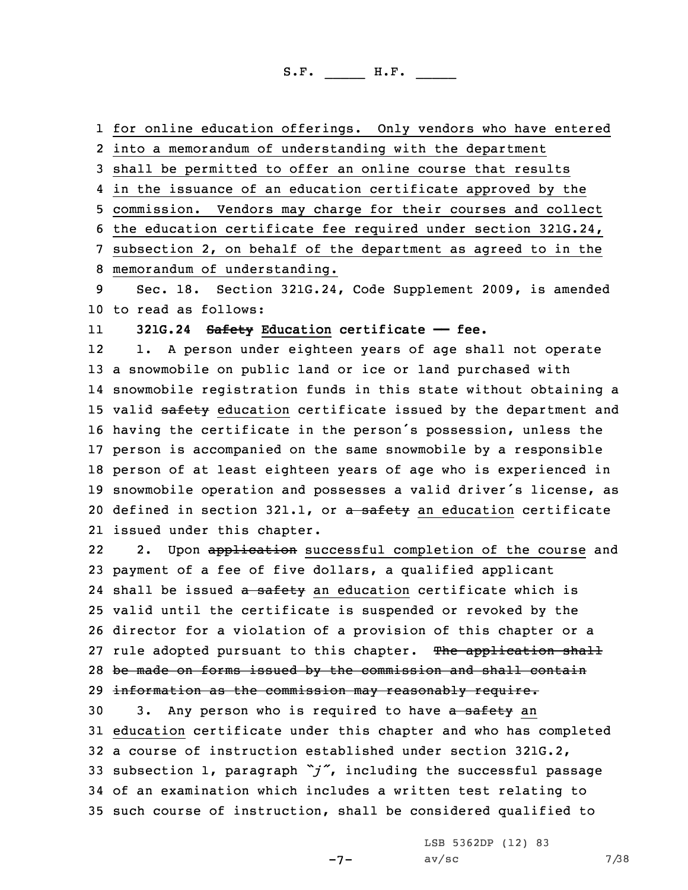for online education offerings. Only vendors who have entered into <sup>a</sup> memorandum of understanding with the department shall be permitted to offer an online course that results in the issuance of an education certificate approved by the commission. Vendors may charge for their courses and collect the education certificate fee required under section 321G.24, subsection 2, on behalf of the department as agreed to in the memorandum of understanding. Sec. 18. Section 321G.24, Code Supplement 2009, is amended to read as follows:

11**321G.24 Safety Education certificate —— fee.**

12 1. <sup>A</sup> person under eighteen years of age shall not operate <sup>a</sup> snowmobile on public land or ice or land purchased with snowmobile registration funds in this state without obtaining <sup>a</sup> 15 valid safety education certificate issued by the department and having the certificate in the person's possession, unless the person is accompanied on the same snowmobile by <sup>a</sup> responsible person of at least eighteen years of age who is experienced in snowmobile operation and possesses <sup>a</sup> valid driver's license, as 20 defined in section 321.1, or a safety an education certificate issued under this chapter.

222. Upon application successful completion of the course and 23 payment of <sup>a</sup> fee of five dollars, <sup>a</sup> qualified applicant 24 shall be issued <del>a safety</del> an education certificate which is 25 valid until the certificate is suspended or revoked by the 26 director for <sup>a</sup> violation of <sup>a</sup> provision of this chapter or <sup>a</sup> 27 rule adopted pursuant to this chapter. The application shall 28 be made on forms issued by the commission and shall contain 29 information as the commission may reasonably require.

30 3. Any person who is required to have a safety an education certificate under this chapter and who has completed <sup>a</sup> course of instruction established under section 321G.2, subsection 1, paragraph *"j"*, including the successful passage of an examination which includes <sup>a</sup> written test relating to such course of instruction, shall be considered qualified to

 $-7-$ 

LSB 5362DP (12) 83  $av/sec$  7/38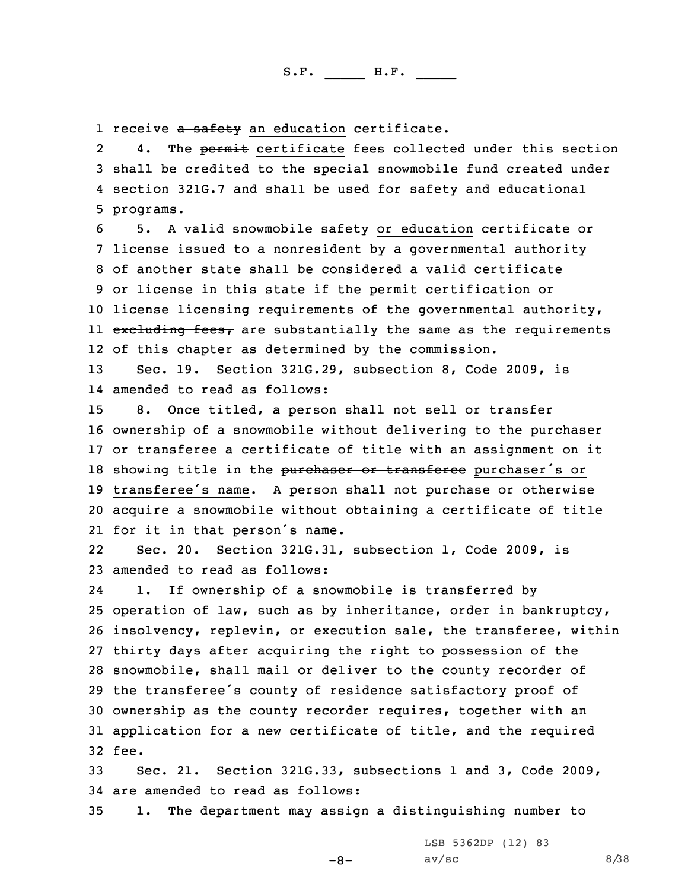1 receive <del>a safety</del> an education certificate.

24. The permit certificate fees collected under this section 3 shall be credited to the special snowmobile fund created under 4 section 321G.7 and shall be used for safety and educational 5 programs.

6 5. <sup>A</sup> valid snowmobile safety or education certificate or 7 license issued to <sup>a</sup> nonresident by <sup>a</sup> governmental authority 8 of another state shall be considered <sup>a</sup> valid certificate 9 or license in this state if the permit certification or 10 Hicense licensing requirements of the governmental authority $\tau$ ll <del>excluding fees,</del> are substantially the same as the requirements 12 of this chapter as determined by the commission.

13 Sec. 19. Section 321G.29, subsection 8, Code 2009, is 14 amended to read as follows:

 8. Once titled, <sup>a</sup> person shall not sell or transfer ownership of <sup>a</sup> snowmobile without delivering to the purchaser or transferee <sup>a</sup> certificate of title with an assignment on it 18 showing title in the purchaser or transferee purchaser's or transferee's name. <sup>A</sup> person shall not purchase or otherwise acquire <sup>a</sup> snowmobile without obtaining <sup>a</sup> certificate of title for it in that person's name.

22 Sec. 20. Section 321G.31, subsection 1, Code 2009, is 23 amended to read as follows:

24 1. If ownership of <sup>a</sup> snowmobile is transferred by operation of law, such as by inheritance, order in bankruptcy, insolvency, replevin, or execution sale, the transferee, within thirty days after acquiring the right to possession of the snowmobile, shall mail or deliver to the county recorder of the transferee's county of residence satisfactory proof of ownership as the county recorder requires, together with an application for <sup>a</sup> new certificate of title, and the required 32 fee.

33 Sec. 21. Section 321G.33, subsections 1 and 3, Code 2009, 34 are amended to read as follows:

35 1. The department may assign <sup>a</sup> distinguishing number to

LSB 5362DP (12) 83

-8-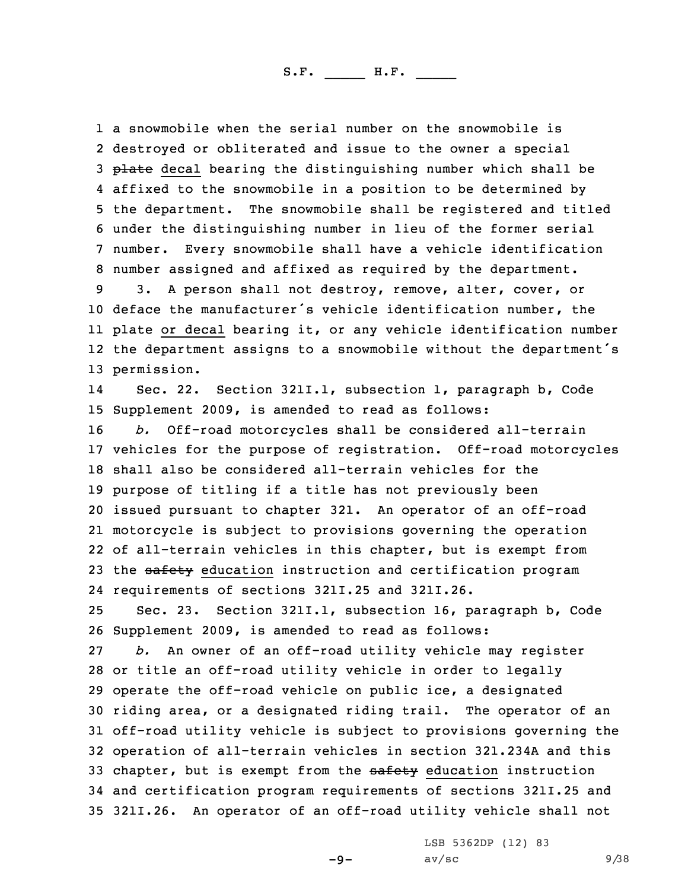<sup>a</sup> snowmobile when the serial number on the snowmobile is destroyed or obliterated and issue to the owner <sup>a</sup> special 3 plate decal bearing the distinguishing number which shall be affixed to the snowmobile in <sup>a</sup> position to be determined by the department. The snowmobile shall be registered and titled under the distinguishing number in lieu of the former serial number. Every snowmobile shall have <sup>a</sup> vehicle identification number assigned and affixed as required by the department. 3. <sup>A</sup> person shall not destroy, remove, alter, cover, or deface the manufacturer's vehicle identification number, the

11 plate or decal bearing it, or any vehicle identification number 12 the department assigns to <sup>a</sup> snowmobile without the department's 13 permission.

14 Sec. 22. Section 321I.1, subsection 1, paragraph b, Code 15 Supplement 2009, is amended to read as follows:

 *b.* Off-road motorcycles shall be considered all-terrain vehicles for the purpose of registration. Off-road motorcycles shall also be considered all-terrain vehicles for the purpose of titling if <sup>a</sup> title has not previously been issued pursuant to chapter 321. An operator of an off-road motorcycle is subject to provisions governing the operation of all-terrain vehicles in this chapter, but is exempt from 23 the safety education instruction and certification program requirements of sections 321I.25 and 321I.26.

25 Sec. 23. Section 321I.1, subsection 16, paragraph b, Code 26 Supplement 2009, is amended to read as follows:

 *b.* An owner of an off-road utility vehicle may register or title an off-road utility vehicle in order to legally operate the off-road vehicle on public ice, <sup>a</sup> designated riding area, or <sup>a</sup> designated riding trail. The operator of an off-road utility vehicle is subject to provisions governing the operation of all-terrain vehicles in section 321.234A and this 33 chapter, but is exempt from the safety education instruction and certification program requirements of sections 321I.25 and 321I.26. An operator of an off-road utility vehicle shall not

LSB 5362DP (12) 83

-9-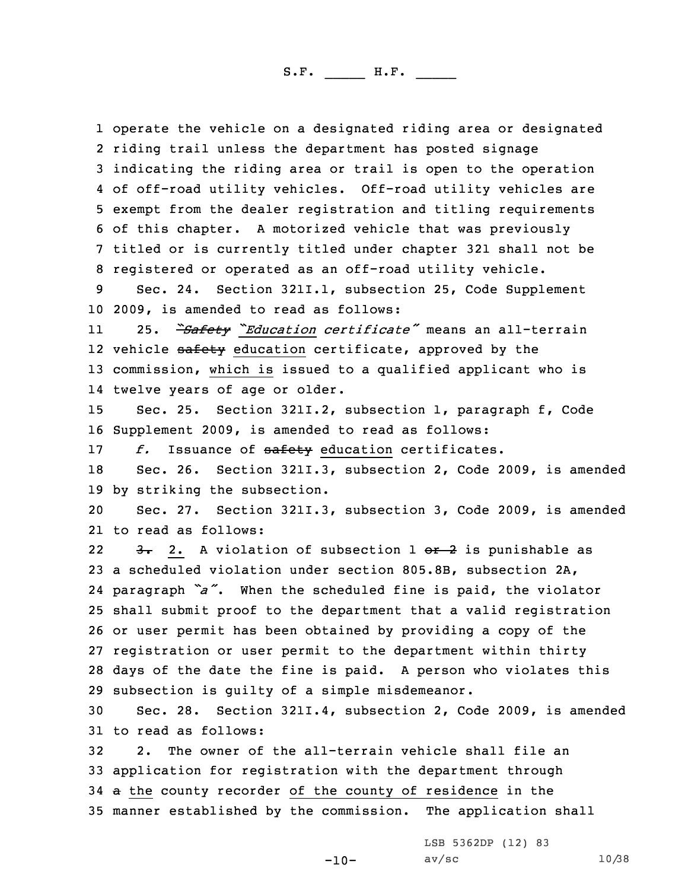operate the vehicle on <sup>a</sup> designated riding area or designated riding trail unless the department has posted signage indicating the riding area or trail is open to the operation of off-road utility vehicles. Off-road utility vehicles are exempt from the dealer registration and titling requirements of this chapter. <sup>A</sup> motorized vehicle that was previously titled or is currently titled under chapter 321 shall not be registered or operated as an off-road utility vehicle.

9 Sec. 24. Section 321I.1, subsection 25, Code Supplement 10 2009, is amended to read as follows:

11 25. *"Safety "Education certificate"* means an all-terrain 12 vehicle <del>safety</del> education certificate, approved by the 13 commission, which is issued to <sup>a</sup> qualified applicant who is 14 twelve years of age or older.

15 Sec. 25. Section 321I.2, subsection 1, paragraph f, Code 16 Supplement 2009, is amended to read as follows:

17 f. Issuance of safety education certificates.

18 Sec. 26. Section 321I.3, subsection 2, Code 2009, is amended 19 by striking the subsection.

20 Sec. 27. Section 321I.3, subsection 3, Code 2009, is amended 21 to read as follows:

223. 2. A violation of subsection 1 or 2 is punishable as <sup>a</sup> scheduled violation under section 805.8B, subsection 2A, paragraph *"a"*. When the scheduled fine is paid, the violator shall submit proof to the department that <sup>a</sup> valid registration or user permit has been obtained by providing <sup>a</sup> copy of the registration or user permit to the department within thirty days of the date the fine is paid. <sup>A</sup> person who violates this subsection is guilty of <sup>a</sup> simple misdemeanor.

30 Sec. 28. Section 321I.4, subsection 2, Code 2009, is amended 31 to read as follows:

 2. The owner of the all-terrain vehicle shall file an application for registration with the department through 34 a the county recorder of the county of residence in the manner established by the commission. The application shall

LSB 5362DP (12) 83

-10-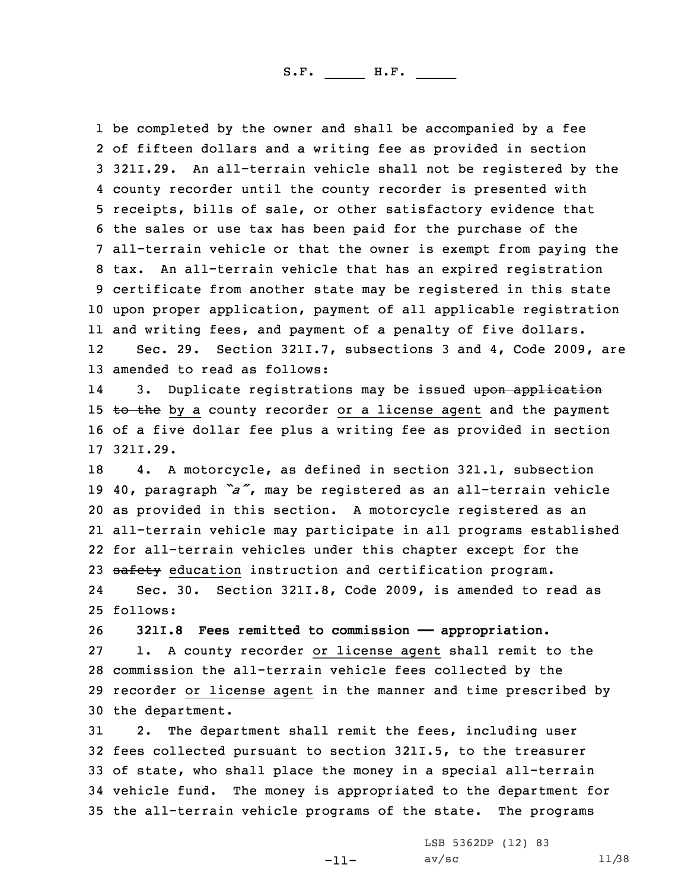be completed by the owner and shall be accompanied by <sup>a</sup> fee of fifteen dollars and <sup>a</sup> writing fee as provided in section 321I.29. An all-terrain vehicle shall not be registered by the county recorder until the county recorder is presented with receipts, bills of sale, or other satisfactory evidence that the sales or use tax has been paid for the purchase of the all-terrain vehicle or that the owner is exempt from paying the tax. An all-terrain vehicle that has an expired registration certificate from another state may be registered in this state upon proper application, payment of all applicable registration and writing fees, and payment of <sup>a</sup> penalty of five dollars. 12 Sec. 29. Section 321I.7, subsections 3 and 4, Code 2009, are amended to read as follows:

143. Duplicate registrations may be issued upon application 15 to the by a county recorder or a license agent and the payment 16 of <sup>a</sup> five dollar fee plus <sup>a</sup> writing fee as provided in section 17 321I.29.

 4. <sup>A</sup> motorcycle, as defined in section 321.1, subsection 40, paragraph *"a"*, may be registered as an all-terrain vehicle as provided in this section. <sup>A</sup> motorcycle registered as an all-terrain vehicle may participate in all programs established for all-terrain vehicles under this chapter except for the 23 safety education instruction and certification program.

24 Sec. 30. Section 321I.8, Code 2009, is amended to read as 25 follows:

 **321I.8 Fees remitted to commission —— appropriation.** 1. <sup>A</sup> county recorder or license agent shall remit to the commission the all-terrain vehicle fees collected by the recorder or license agent in the manner and time prescribed by the department.

 2. The department shall remit the fees, including user fees collected pursuant to section 321I.5, to the treasurer of state, who shall place the money in <sup>a</sup> special all-terrain vehicle fund. The money is appropriated to the department for the all-terrain vehicle programs of the state. The programs

-11-

LSB 5362DP (12) 83 av/sc  $11/38$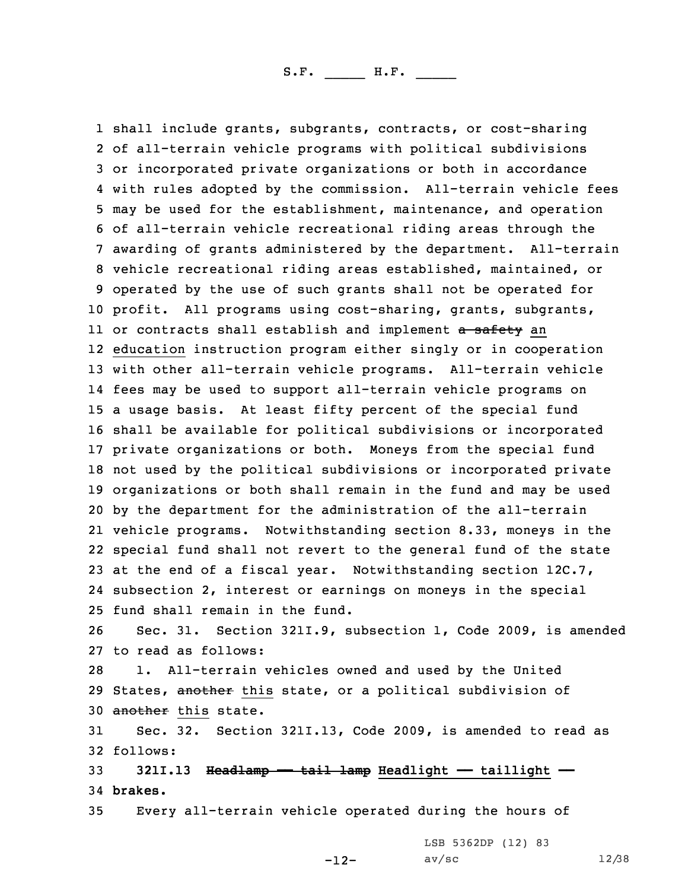shall include grants, subgrants, contracts, or cost-sharing of all-terrain vehicle programs with political subdivisions or incorporated private organizations or both in accordance with rules adopted by the commission. All-terrain vehicle fees may be used for the establishment, maintenance, and operation of all-terrain vehicle recreational riding areas through the awarding of grants administered by the department. All-terrain vehicle recreational riding areas established, maintained, or operated by the use of such grants shall not be operated for profit. All programs using cost-sharing, grants, subgrants, ll or contracts shall establish and implement <del>a safety</del> an education instruction program either singly or in cooperation with other all-terrain vehicle programs. All-terrain vehicle fees may be used to support all-terrain vehicle programs on <sup>a</sup> usage basis. At least fifty percent of the special fund shall be available for political subdivisions or incorporated private organizations or both. Moneys from the special fund not used by the political subdivisions or incorporated private organizations or both shall remain in the fund and may be used by the department for the administration of the all-terrain vehicle programs. Notwithstanding section 8.33, moneys in the special fund shall not revert to the general fund of the state at the end of <sup>a</sup> fiscal year. Notwithstanding section 12C.7, subsection 2, interest or earnings on moneys in the special fund shall remain in the fund. Sec. 31. Section 321I.9, subsection 1, Code 2009, is amended to read as follows: 1. All-terrain vehicles owned and used by the United 29 States, another this state, or a political subdivision of 30 another this state. Sec. 32. Section 321I.13, Code 2009, is amended to read as 32 follows: 33 321I.13 Headlamp - tail lamp Headlight - taillight -34 **brakes.**

35 Every all-terrain vehicle operated during the hours of

LSB 5362DP (12) 83

-12-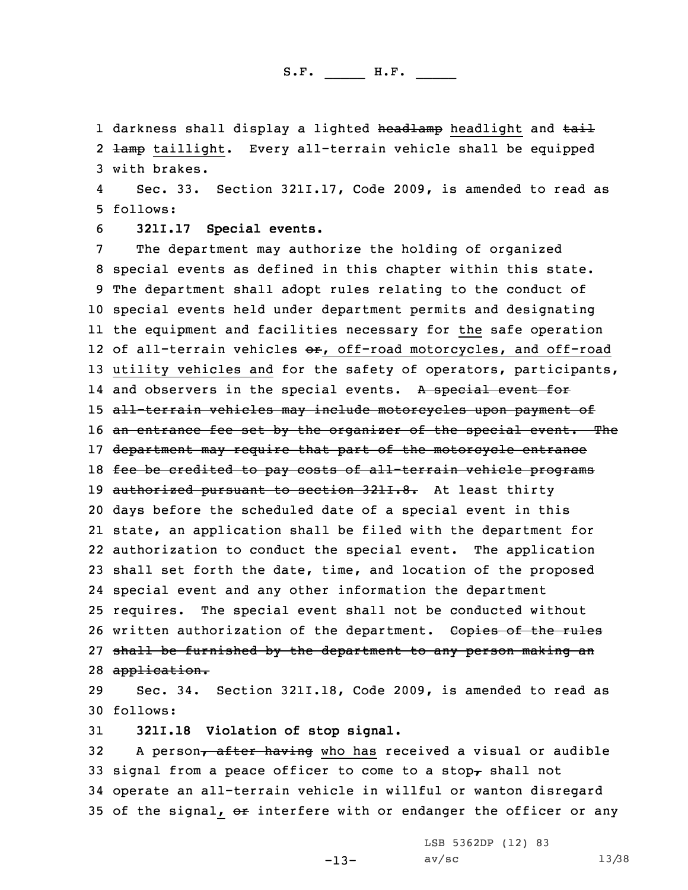1 darkness shall display a lighted <del>headlamp</del> headlight and <del>tail</del> 2 <del>lamp</del> taillight. Every all-terrain vehicle shall be equipped 3 with brakes.

4 Sec. 33. Section 321I.17, Code 2009, is amended to read as 5 follows:

6 **321I.17 Special events.**

7 The department may authorize the holding of organized 8 special events as defined in this chapter within this state. 9 The department shall adopt rules relating to the conduct of 10 special events held under department permits and designating 11 the equipment and facilities necessary for the safe operation 12 of all-terrain vehicles <del>or</del>, off-road motorcycles, and off-road 13 utility vehicles and for the safety of operators, participants, 14 and observers in the special events. A special event for 15 all-terrain vehicles may include motorcycles upon payment of 16 an entrance fee set by the organizer of the special event. The 17 department may require that part of the motorcycle entrance 18 fee be credited to pay costs of all-terrain vehicle programs 19 authorized pursuant to section 3211.8. At least thirty 20 days before the scheduled date of <sup>a</sup> special event in this 21 state, an application shall be filed with the department for 22 authorization to conduct the special event. The application 23 shall set forth the date, time, and location of the proposed 24 special event and any other information the department 25 requires. The special event shall not be conducted without 26 written authorization of the department. Copies of the rules 27 shall be furnished by the department to any person making an 28 application.

29 Sec. 34. Section 321I.18, Code 2009, is amended to read as 30 follows:

31 **321I.18 Violation of stop signal.**

32 A person, after having who has received a visual or audible 33 signal from a peace officer to come to a stop $_{T}$  shall not 34 operate an all-terrain vehicle in willful or wanton disregard 35 of the signal, or interfere with or endanger the officer or any

-13-

LSB 5362DP (12) 83 av/sc  $13/38$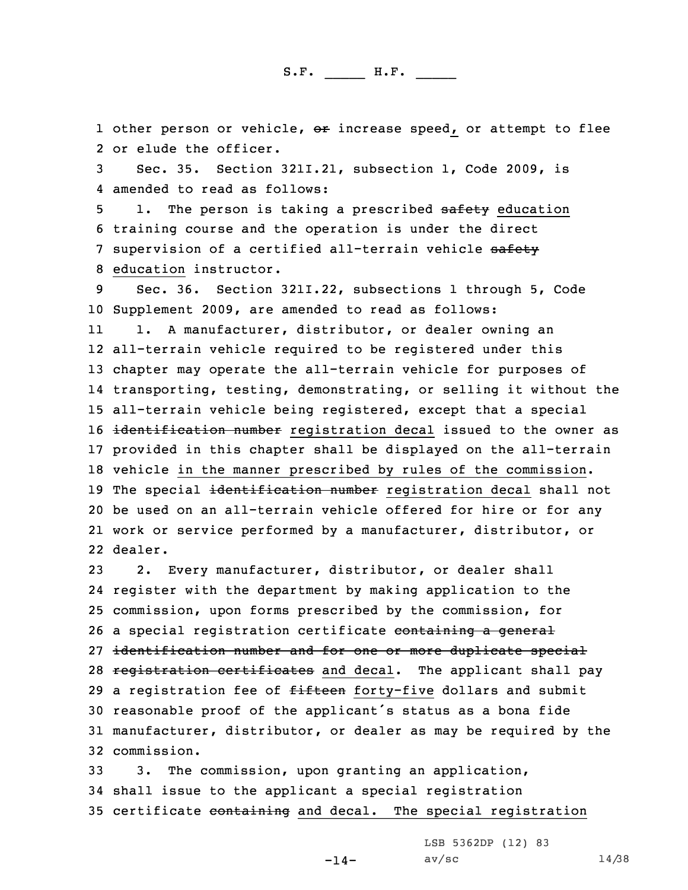1 other person or vehicle, or increase speed, or attempt to flee 2 or elude the officer.

3 Sec. 35. Section 321I.21, subsection 1, Code 2009, is 4 amended to read as follows:

5 1. The person is taking a prescribed safety education 6 training course and the operation is under the direct 7 supervision of a certified all-terrain vehicle safety 8 education instructor.

9 Sec. 36. Section 321I.22, subsections 1 through 5, Code 10 Supplement 2009, are amended to read as follows:

11 1. <sup>A</sup> manufacturer, distributor, or dealer owning an all-terrain vehicle required to be registered under this chapter may operate the all-terrain vehicle for purposes of transporting, testing, demonstrating, or selling it without the all-terrain vehicle being registered, except that <sup>a</sup> special 16 identification number registration decal issued to the owner as provided in this chapter shall be displayed on the all-terrain vehicle in the manner prescribed by rules of the commission. 19 The special identification number registration decal shall not be used on an all-terrain vehicle offered for hire or for any work or service performed by <sup>a</sup> manufacturer, distributor, or 22 dealer.

 2. Every manufacturer, distributor, or dealer shall register with the department by making application to the commission, upon forms prescribed by the commission, for 26 a special registration certificate containing a general identification number and for one or more duplicate special 28 registration certificates and decal. The applicant shall pay 29 a registration fee of fifteen forty-five dollars and submit reasonable proof of the applicant's status as <sup>a</sup> bona fide manufacturer, distributor, or dealer as may be required by the commission.

33 3. The commission, upon granting an application, 34 shall issue to the applicant <sup>a</sup> special registration 35 certificate containing and decal. The special registration

 $-14-$ 

LSB 5362DP (12) 83  $av/sec$  14/38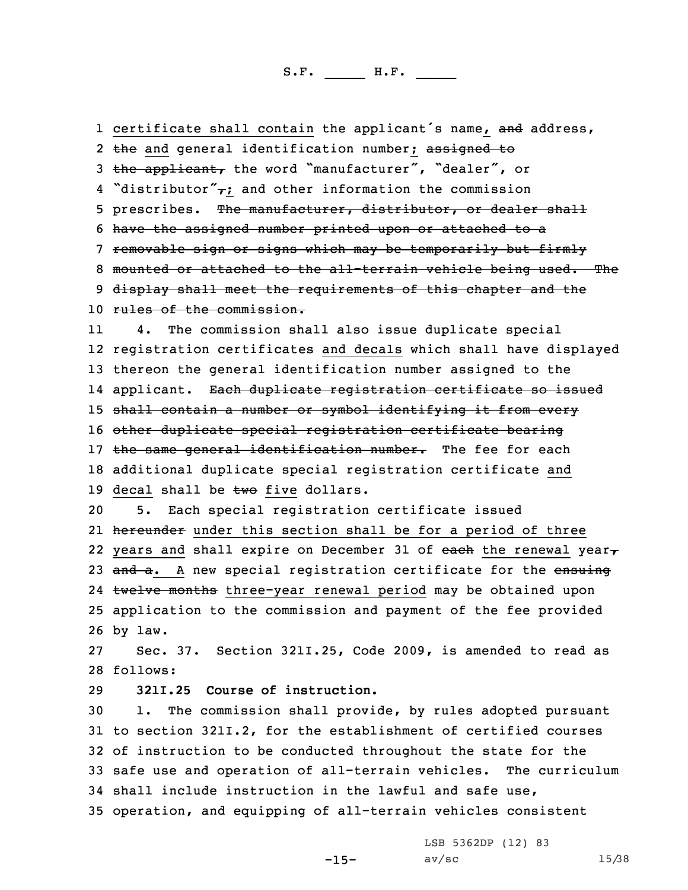1 certificate shall contain the applicant's name, and address,

2 <del>the</del> and general identification number; assigned to 3 the applicant, the word "manufacturer", "dealer", or 4 "distributor" $\tau$ ; and other information the commission 5 prescribes. The manufacturer, distributor, or dealer shall 6 have the assigned number printed upon or attached to <sup>a</sup> 7 removable sign or signs which may be temporarily but firmly 8 mounted or attached to the all-terrain vehicle being used. The 9 display shall meet the requirements of this chapter and the 10 rules of the commission. 11 4. The commission shall also issue duplicate special 12 registration certificates and decals which shall have displayed 13 thereon the general identification number assigned to the 14 applicant. <del>Each duplicate registration certificate so issued</del> 15 shall contain <sup>a</sup> number or symbol identifying it from every 16 other duplicate special registration certificate bearing 17 the same general identification number. The fee for each 18 additional duplicate special registration certificate and 19 decal shall be  $\text{two}$  five dollars. 20 5. Each special registration certificate issued 21 <del>hereunder</del> under this section shall be for a period of three 22 years and shall expire on December 31 of <del>each</del> the renewal year<sub>7</sub> 23 and a. A new special registration certificate for the ensuing 24 twelve months three-year renewal period may be obtained upon 25 application to the commission and payment of the fee provided 26 by law. 27 Sec. 37. Section 321I.25, Code 2009, is amended to read as 28 follows: 29 **321I.25 Course of instruction.** 30 1. The commission shall provide, by rules adopted pursuant 31 to section 321I.2, for the establishment of certified courses 32 of instruction to be conducted throughout the state for the 33 safe use and operation of all-terrain vehicles. The curriculum 34 shall include instruction in the lawful and safe use, 35 operation, and equipping of all-terrain vehicles consistent

-15-

LSB 5362DP (12) 83 av/sc 15/38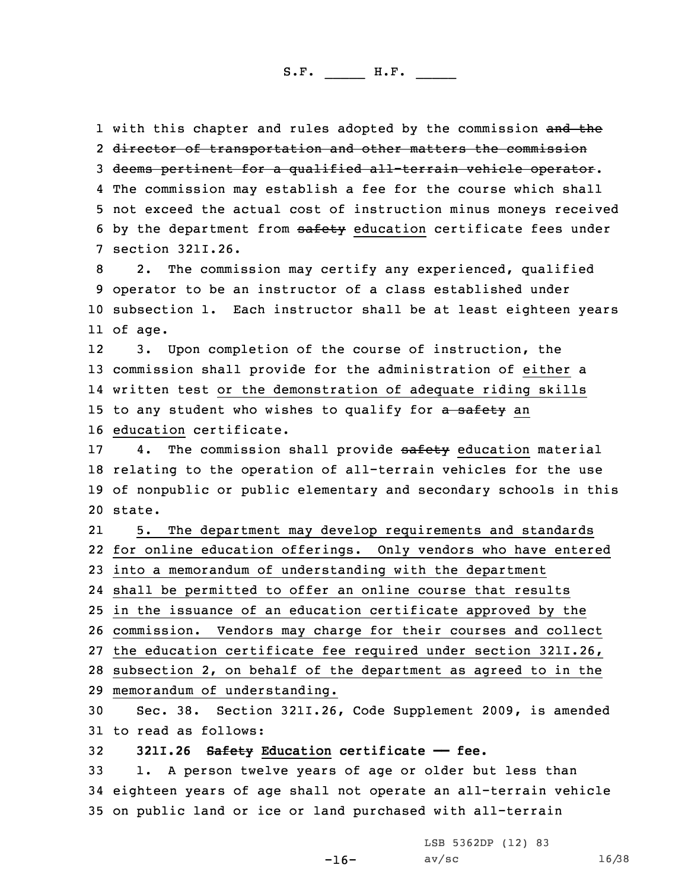1 with this chapter and rules adopted by the commission <del>and th</del>e director of transportation and other matters the commission deems pertinent for <sup>a</sup> qualified all-terrain vehicle operator. The commission may establish <sup>a</sup> fee for the course which shall not exceed the actual cost of instruction minus moneys received 6 by the department from safety education certificate fees under section 321I.26.

 2. The commission may certify any experienced, qualified operator to be an instructor of <sup>a</sup> class established under subsection 1. Each instructor shall be at least eighteen years 11 of age.

12 3. Upon completion of the course of instruction, the 13 commission shall provide for the administration of either <sup>a</sup> 14 written test or the demonstration of adequate riding skills 15 to any student who wishes to qualify for a safety an 16 education certificate.

17 4. The commission shall provide safety education material 18 relating to the operation of all-terrain vehicles for the use 19 of nonpublic or public elementary and secondary schools in this 20 state.

21 5. The department may develop requirements and standards for online education offerings. Only vendors who have entered into <sup>a</sup> memorandum of understanding with the department shall be permitted to offer an online course that results in the issuance of an education certificate approved by the commission. Vendors may charge for their courses and collect the education certificate fee required under section 321I.26, subsection 2, on behalf of the department as agreed to in the memorandum of understanding.

30 Sec. 38. Section 321I.26, Code Supplement 2009, is amended 31 to read as follows:

32 **321I.26 Safety Education certificate —— fee.**

33 1. <sup>A</sup> person twelve years of age or older but less than 34 eighteen years of age shall not operate an all-terrain vehicle 35 on public land or ice or land purchased with all-terrain

LSB 5362DP (12) 83

-16-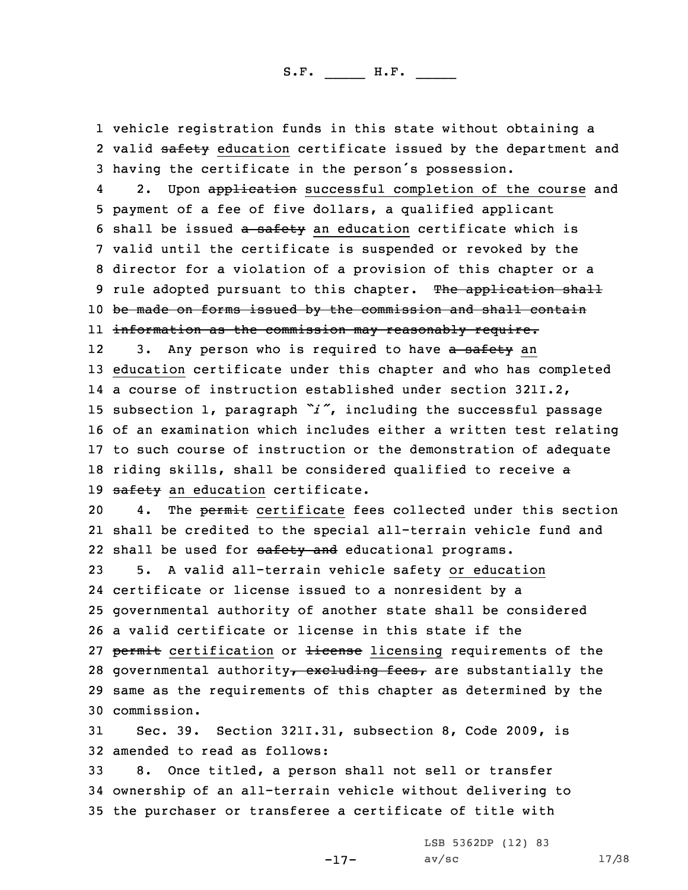1 vehicle registration funds in this state without obtaining <sup>a</sup> 2 valid <del>safety</del> education certificate issued by the department and <sup>3</sup> having the certificate in the person's possession.

42. Upon application successful completion of the course and 5 payment of <sup>a</sup> fee of five dollars, <sup>a</sup> qualified applicant 6 shall be issued a safety an education certificate which is 7 valid until the certificate is suspended or revoked by the 8 director for <sup>a</sup> violation of <sup>a</sup> provision of this chapter or <sup>a</sup> 9 rule adopted pursuant to this chapter. The application shall 10 be made on forms issued by the commission and shall contain 11 information as the commission may reasonably require.

123. Any person who is required to have a safety an 13 education certificate under this chapter and who has completed 14 <sup>a</sup> course of instruction established under section 321I.2, <sup>15</sup> subsection 1, paragraph *"i"*, including the successful passage 16 of an examination which includes either <sup>a</sup> written test relating 17 to such course of instruction or the demonstration of adequate 18 riding skills, shall be considered qualified to receive a 19 safety an education certificate.

20 4. The permit certificate fees collected under this section 21 shall be credited to the special all-terrain vehicle fund and 22 shall be used for safety and educational programs.

 5. <sup>A</sup> valid all-terrain vehicle safety or education certificate or license issued to <sup>a</sup> nonresident by <sup>a</sup> governmental authority of another state shall be considered <sup>a</sup> valid certificate or license in this state if the 27 permit certification or license licensing requirements of the 28 governmental authority, excluding fees, are substantially the same as the requirements of this chapter as determined by the commission.

31 Sec. 39. Section 321I.31, subsection 8, Code 2009, is 32 amended to read as follows:

33 8. Once titled, <sup>a</sup> person shall not sell or transfer 34 ownership of an all-terrain vehicle without delivering to 35 the purchaser or transferee <sup>a</sup> certificate of title with

LSB 5362DP (12) 83

-17-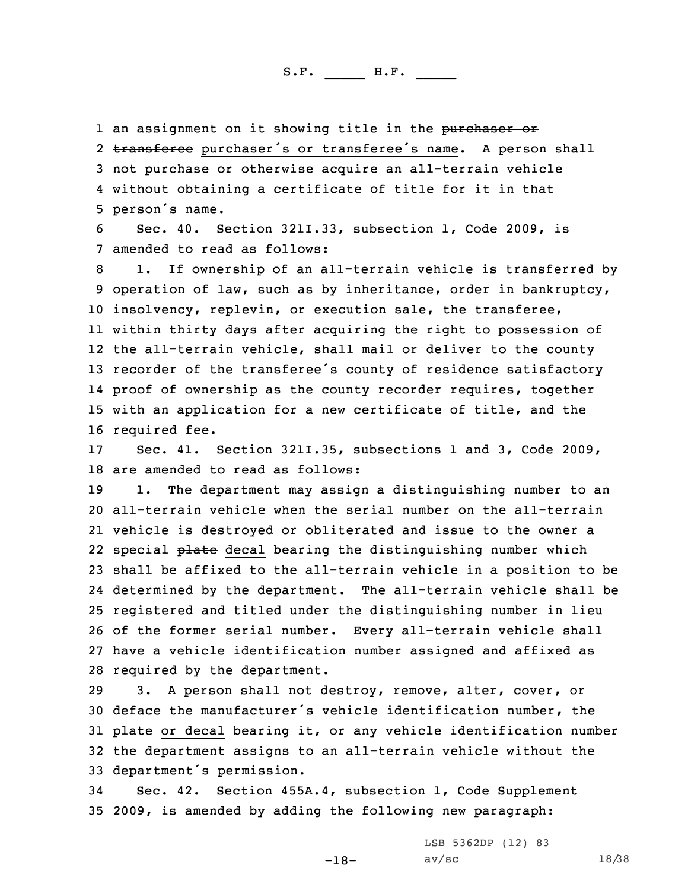1 an assignment on it showing title in the purchaser or

2 transferee purchaser's or transferee's name. A person shall not purchase or otherwise acquire an all-terrain vehicle without obtaining <sup>a</sup> certificate of title for it in that person's name.

6 Sec. 40. Section 321I.33, subsection 1, Code 2009, is 7 amended to read as follows:

 1. If ownership of an all-terrain vehicle is transferred by operation of law, such as by inheritance, order in bankruptcy, insolvency, replevin, or execution sale, the transferee, within thirty days after acquiring the right to possession of the all-terrain vehicle, shall mail or deliver to the county recorder of the transferee's county of residence satisfactory proof of ownership as the county recorder requires, together with an application for <sup>a</sup> new certificate of title, and the required fee.

17 Sec. 41. Section 321I.35, subsections 1 and 3, Code 2009, 18 are amended to read as follows:

 1. The department may assign <sup>a</sup> distinguishing number to an all-terrain vehicle when the serial number on the all-terrain vehicle is destroyed or obliterated and issue to the owner <sup>a</sup> 22 special <del>plate</del> decal bearing the distinguishing number which shall be affixed to the all-terrain vehicle in <sup>a</sup> position to be determined by the department. The all-terrain vehicle shall be registered and titled under the distinguishing number in lieu of the former serial number. Every all-terrain vehicle shall have <sup>a</sup> vehicle identification number assigned and affixed as required by the department.

 3. <sup>A</sup> person shall not destroy, remove, alter, cover, or deface the manufacturer's vehicle identification number, the plate or decal bearing it, or any vehicle identification number the department assigns to an all-terrain vehicle without the department's permission.

34 Sec. 42. Section 455A.4, subsection 1, Code Supplement 35 2009, is amended by adding the following new paragraph:

> LSB 5362DP (12) 83 av/sc 18/38

-18-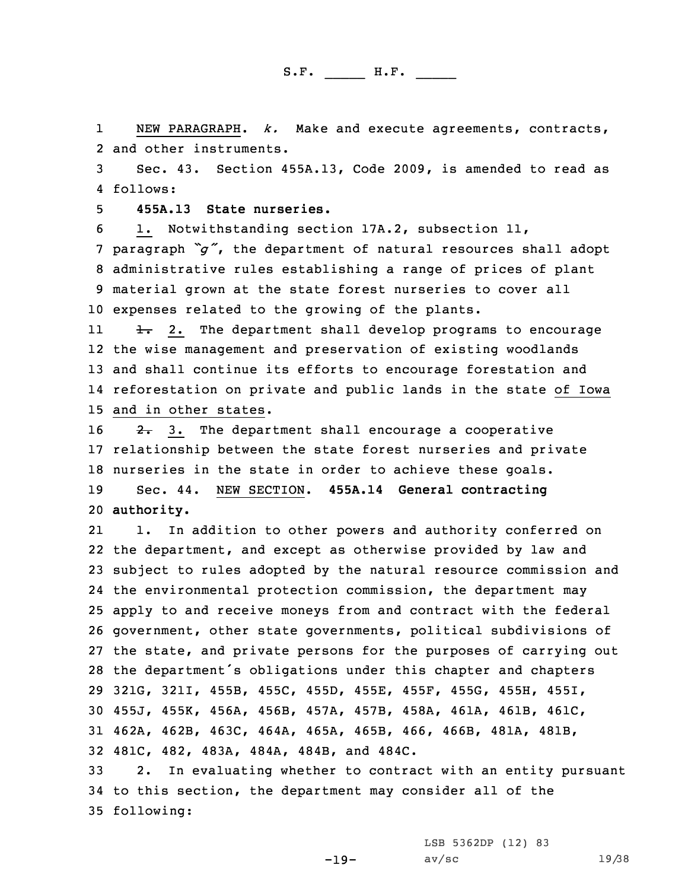1 NEW PARAGRAPH. *k.* Make and execute agreements, contracts, 2 and other instruments.

3 Sec. 43. Section 455A.13, Code 2009, is amended to read as 4 follows:

5 **455A.13 State nurseries.**

 1. Notwithstanding section 17A.2, subsection 11, paragraph *"g"*, the department of natural resources shall adopt administrative rules establishing <sup>a</sup> range of prices of plant material grown at the state forest nurseries to cover all expenses related to the growing of the plants.

11 $\frac{1}{2}$ . The department shall develop programs to encourage the wise management and preservation of existing woodlands and shall continue its efforts to encourage forestation and reforestation on private and public lands in the state of Iowa and in other states.

 $\rightarrow$  2. 3. The department shall encourage a cooperative relationship between the state forest nurseries and private nurseries in the state in order to achieve these goals. Sec. 44. NEW SECTION. **455A.14 General contracting authority.**

21 1. In addition to other powers and authority conferred on the department, and except as otherwise provided by law and subject to rules adopted by the natural resource commission and the environmental protection commission, the department may apply to and receive moneys from and contract with the federal government, other state governments, political subdivisions of the state, and private persons for the purposes of carrying out the department's obligations under this chapter and chapters 321G, 321I, 455B, 455C, 455D, 455E, 455F, 455G, 455H, 455I, 455J, 455K, 456A, 456B, 457A, 457B, 458A, 461A, 461B, 461C, 462A, 462B, 463C, 464A, 465A, 465B, 466, 466B, 481A, 481B, 481C, 482, 483A, 484A, 484B, and 484C.

33 2. In evaluating whether to contract with an entity pursuant 34 to this section, the department may consider all of the 35 following:

LSB 5362DP (12) 83

-19-

av/sc  $19/38$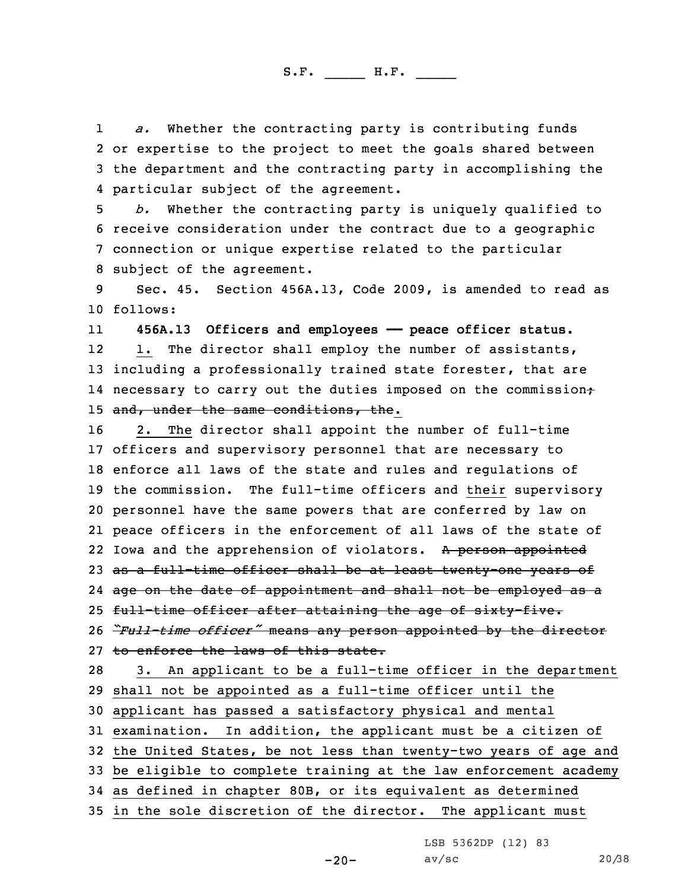1 *a.* Whether the contracting party is contributing funds 2 or expertise to the project to meet the goals shared between 3 the department and the contracting party in accomplishing the 4 particular subject of the agreement.

 *b.* Whether the contracting party is uniquely qualified to receive consideration under the contract due to <sup>a</sup> geographic connection or unique expertise related to the particular subject of the agreement.

9 Sec. 45. Section 456A.13, Code 2009, is amended to read as 10 follows:

11 **456A.13 Officers and employees —— peace officer status.** 12 1. The director shall employ the number of assistants, 13 including <sup>a</sup> professionally trained state forester, that are 14 necessary to carry out the duties imposed on the commission; 15 and, under the same conditions, the.

 2. The director shall appoint the number of full-time officers and supervisory personnel that are necessary to enforce all laws of the state and rules and regulations of the commission. The full-time officers and their supervisory personnel have the same powers that are conferred by law on peace officers in the enforcement of all laws of the state of 22 Iowa and the apprehension of violators. A person appointed 23 as a full-time officer shall be at least twenty-one years of age on the date of appointment and shall not be employed as <sup>a</sup> 25 full-time officer after attaining the age of sixty-five. *"Full-time officer"* means any person appointed by the director 27 to enforce the laws of this state. 3. An applicant to be <sup>a</sup> full-time officer in the department shall not be appointed as <sup>a</sup> full-time officer until the applicant has passed <sup>a</sup> satisfactory physical and mental examination. In addition, the applicant must be <sup>a</sup> citizen of

32 the United States, be not less than twenty-two years of age and

33 be eligible to complete training at the law enforcement academy

34 as defined in chapter 80B, or its equivalent as determined

35 in the sole discretion of the director. The applicant must

LSB 5362DP (12) 83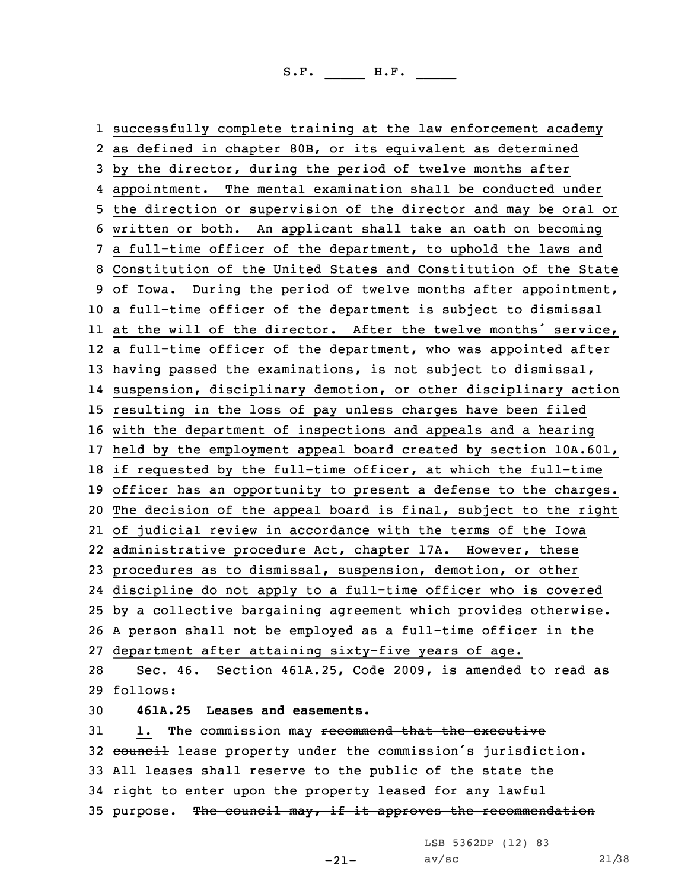successfully complete training at the law enforcement academy as defined in chapter 80B, or its equivalent as determined by the director, during the period of twelve months after appointment. The mental examination shall be conducted under the direction or supervision of the director and may be oral or written or both. An applicant shall take an oath on becoming <sup>a</sup> full-time officer of the department, to uphold the laws and Constitution of the United States and Constitution of the State of Iowa. During the period of twelve months after appointment, <sup>a</sup> full-time officer of the department is subject to dismissal at the will of the director. After the twelve months' service, <sup>a</sup> full-time officer of the department, who was appointed after having passed the examinations, is not subject to dismissal, suspension, disciplinary demotion, or other disciplinary action resulting in the loss of pay unless charges have been filed with the department of inspections and appeals and <sup>a</sup> hearing held by the employment appeal board created by section 10A.601, if requested by the full-time officer, at which the full-time officer has an opportunity to present <sup>a</sup> defense to the charges. The decision of the appeal board is final, subject to the right of judicial review in accordance with the terms of the Iowa administrative procedure Act, chapter 17A. However, these procedures as to dismissal, suspension, demotion, or other discipline do not apply to <sup>a</sup> full-time officer who is covered by <sup>a</sup> collective bargaining agreement which provides otherwise. <sup>A</sup> person shall not be employed as <sup>a</sup> full-time officer in the department after attaining sixty-five years of age. Sec. 46. Section 461A.25, Code 2009, is amended to read as 29 follows: **461A.25 Leases and easements.** 31 1. The commission may recommend that the executive 32 council lease property under the commission's jurisdiction. All leases shall reserve to the public of the state the right to enter upon the property leased for any lawful 35 purpose. The council may, if it approves the recommendation

LSB 5362DP (12) 83

-21-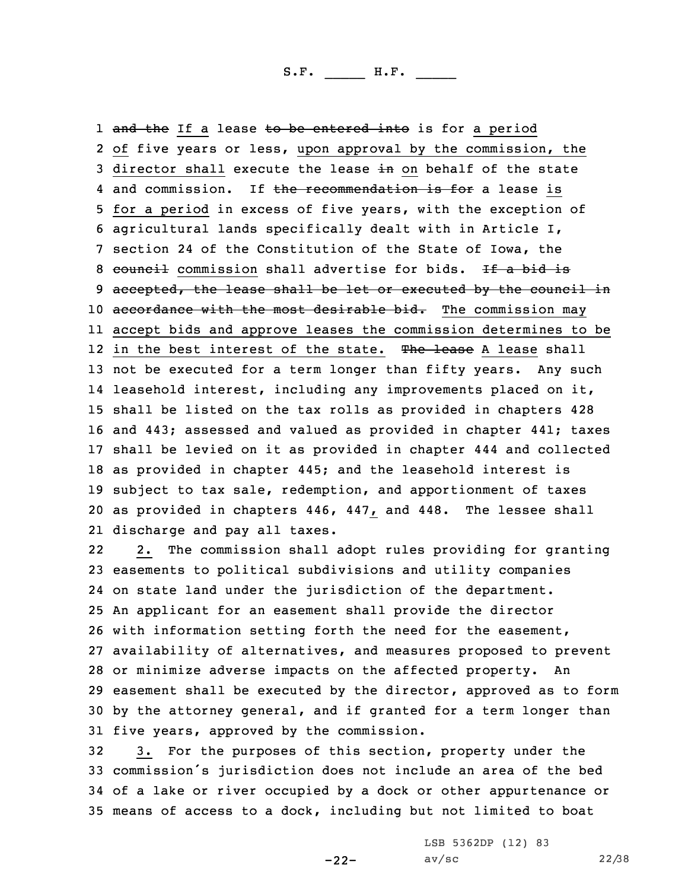1 <del>and the</del> If a lease <del>to be entered into</del> is for a period of five years or less, upon approval by the commission, the 3 director shall execute the lease in on behalf of the state 4 and commission. If the recommendation is for a lease is for <sup>a</sup> period in excess of five years, with the exception of agricultural lands specifically dealt with in Article I, section 24 of the Constitution of the State of Iowa, the 8 council commission shall advertise for bids. If a bid is 9 accepted, the lease shall be let or executed by the council in 10 accordance with the most desirable bid. The commission may accept bids and approve leases the commission determines to be 12 in the best interest of the state. The lease A lease shall not be executed for <sup>a</sup> term longer than fifty years. Any such leasehold interest, including any improvements placed on it, shall be listed on the tax rolls as provided in chapters 428 and 443; assessed and valued as provided in chapter 441; taxes shall be levied on it as provided in chapter 444 and collected as provided in chapter 445; and the leasehold interest is subject to tax sale, redemption, and apportionment of taxes as provided in chapters 446, 447, and 448. The lessee shall discharge and pay all taxes.

22 2. The commission shall adopt rules providing for granting easements to political subdivisions and utility companies on state land under the jurisdiction of the department. An applicant for an easement shall provide the director with information setting forth the need for the easement, availability of alternatives, and measures proposed to prevent or minimize adverse impacts on the affected property. An easement shall be executed by the director, approved as to form by the attorney general, and if granted for <sup>a</sup> term longer than five years, approved by the commission.

 3. For the purposes of this section, property under the commission's jurisdiction does not include an area of the bed of <sup>a</sup> lake or river occupied by <sup>a</sup> dock or other appurtenance or means of access to <sup>a</sup> dock, including but not limited to boat

-22-

LSB 5362DP (12) 83 av/sc 22/38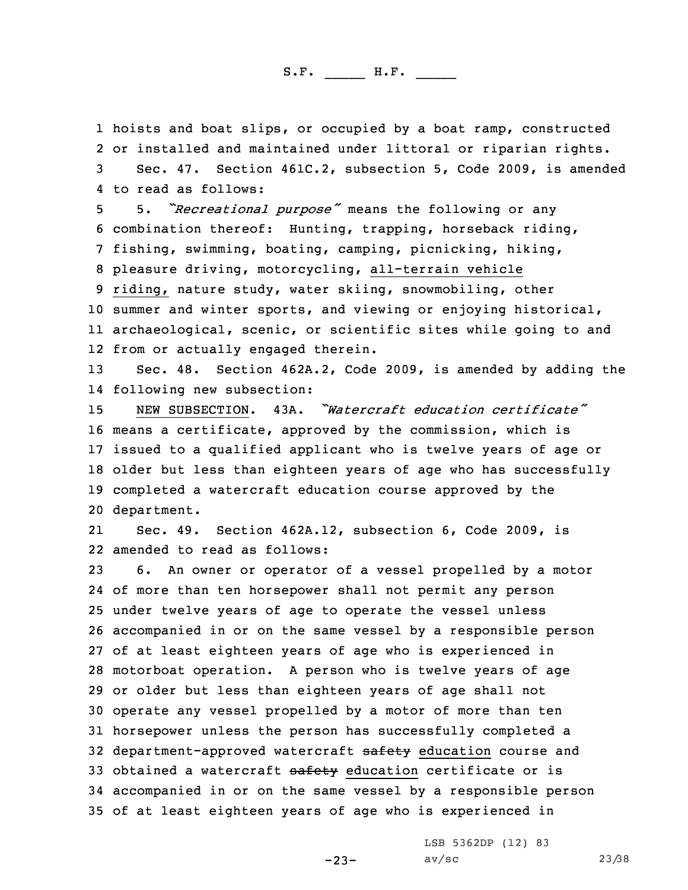hoists and boat slips, or occupied by <sup>a</sup> boat ramp, constructed or installed and maintained under littoral or riparian rights. Sec. 47. Section 461C.2, subsection 5, Code 2009, is amended to read as follows:

 5. *"Recreational purpose"* means the following or any combination thereof: Hunting, trapping, horseback riding, fishing, swimming, boating, camping, picnicking, hiking, pleasure driving, motorcycling, all-terrain vehicle riding, nature study, water skiing, snowmobiling, other summer and winter sports, and viewing or enjoying historical, archaeological, scenic, or scientific sites while going to and from or actually engaged therein.

13 Sec. 48. Section 462A.2, Code 2009, is amended by adding the 14 following new subsection:

 NEW SUBSECTION. 43A. *"Watercraft education certificate"* means <sup>a</sup> certificate, approved by the commission, which is issued to <sup>a</sup> qualified applicant who is twelve years of age or older but less than eighteen years of age who has successfully completed <sup>a</sup> watercraft education course approved by the department.

21 Sec. 49. Section 462A.12, subsection 6, Code 2009, is 22 amended to read as follows:

 6. An owner or operator of <sup>a</sup> vessel propelled by <sup>a</sup> motor of more than ten horsepower shall not permit any person under twelve years of age to operate the vessel unless accompanied in or on the same vessel by <sup>a</sup> responsible person of at least eighteen years of age who is experienced in motorboat operation. <sup>A</sup> person who is twelve years of age or older but less than eighteen years of age shall not operate any vessel propelled by <sup>a</sup> motor of more than ten horsepower unless the person has successfully completed <sup>a</sup> 32 department-approved watercraft safety education course and 33 obtained a watercraft safety education certificate or is accompanied in or on the same vessel by <sup>a</sup> responsible person of at least eighteen years of age who is experienced in

LSB 5362DP (12) 83

-23-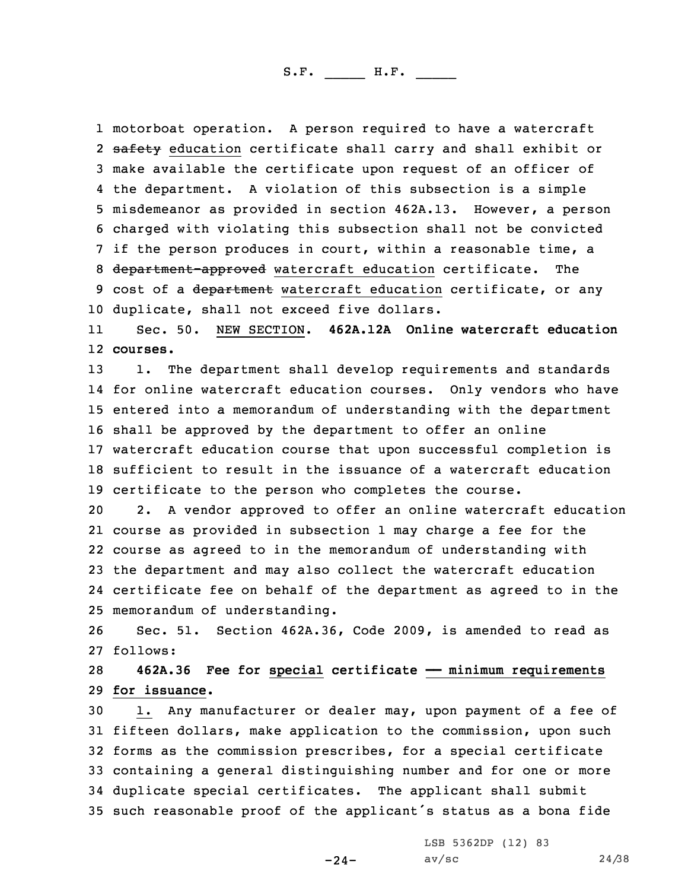motorboat operation. <sup>A</sup> person required to have <sup>a</sup> watercraft 2 <del>safety</del> education certificate shall carry and shall exhibit or make available the certificate upon request of an officer of the department. <sup>A</sup> violation of this subsection is <sup>a</sup> simple misdemeanor as provided in section 462A.13. However, <sup>a</sup> person charged with violating this subsection shall not be convicted if the person produces in court, within <sup>a</sup> reasonable time, <sup>a</sup> 8 department-approved watercraft education certificate. The 9 cost of a department watercraft education certificate, or any duplicate, shall not exceed five dollars.

11 Sec. 50. NEW SECTION. **462A.12A Online watercraft education** 12 **courses.**

 1. The department shall develop requirements and standards for online watercraft education courses. Only vendors who have entered into <sup>a</sup> memorandum of understanding with the department shall be approved by the department to offer an online watercraft education course that upon successful completion is sufficient to result in the issuance of <sup>a</sup> watercraft education certificate to the person who completes the course.

 2. <sup>A</sup> vendor approved to offer an online watercraft education course as provided in subsection 1 may charge <sup>a</sup> fee for the course as agreed to in the memorandum of understanding with the department and may also collect the watercraft education certificate fee on behalf of the department as agreed to in the memorandum of understanding.

26 Sec. 51. Section 462A.36, Code 2009, is amended to read as 27 follows:

28 **462A.36 Fee for special certificate —— minimum requirements** 29 **for issuance.**

 1. Any manufacturer or dealer may, upon payment of <sup>a</sup> fee of fifteen dollars, make application to the commission, upon such forms as the commission prescribes, for <sup>a</sup> special certificate containing <sup>a</sup> general distinguishing number and for one or more duplicate special certificates. The applicant shall submit such reasonable proof of the applicant's status as <sup>a</sup> bona fide

-24-

LSB 5362DP (12) 83  $av/sec$  24/38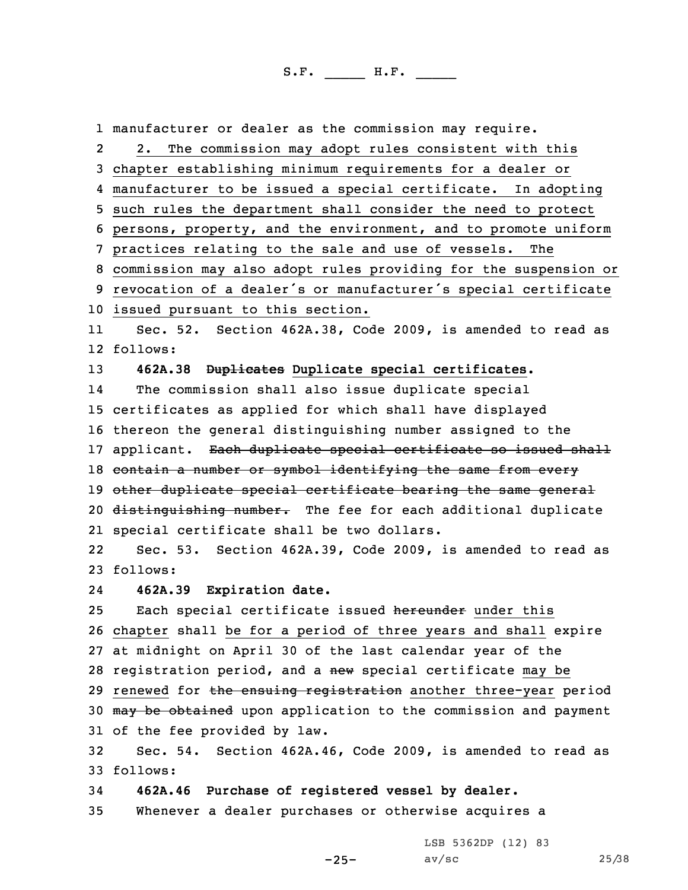1 manufacturer or dealer as the commission may require. 2 2. The commission may adopt rules consistent with this 3 chapter establishing minimum requirements for <sup>a</sup> dealer or 4 manufacturer to be issued <sup>a</sup> special certificate. In adopting 5 such rules the department shall consider the need to protect 6 persons, property, and the environment, and to promote uniform 7 practices relating to the sale and use of vessels. The 8 commission may also adopt rules providing for the suspension or <sup>9</sup> revocation of <sup>a</sup> dealer's or manufacturer's special certificate 10 issued pursuant to this section. 11 Sec. 52. Section 462A.38, Code 2009, is amended to read as 12 follows: 13 **462A.38 Duplicates Duplicate special certificates.** 14 The commission shall also issue duplicate special 15 certificates as applied for which shall have displayed 16 thereon the general distinguishing number assigned to the 17 applicant. Each duplicate special certificate so issued shall 18 contain a number or symbol identifying the same from every 19 other duplicate special certificate bearing the same general 20 distinguishing number. The fee for each additional duplicate 21 special certificate shall be two dollars. 22 Sec. 53. Section 462A.39, Code 2009, is amended to read as 23 follows: 24 **462A.39 Expiration date.** 25 Each special certificate issued hereunder under this 26 chapter shall be for <sup>a</sup> period of three years and shall expire 27 at midnight on April 30 of the last calendar year of the 28 registration period, and a new special certificate may be 29 renewed for the ensuing registration another three-year period 30 may be obtained upon application to the commission and payment 31 of the fee provided by law. 32 Sec. 54. Section 462A.46, Code 2009, is amended to read as 33 follows: 34 **462A.46 Purchase of registered vessel by dealer.**

35 Whenever <sup>a</sup> dealer purchases or otherwise acquires <sup>a</sup>

LSB 5362DP (12) 83

-25-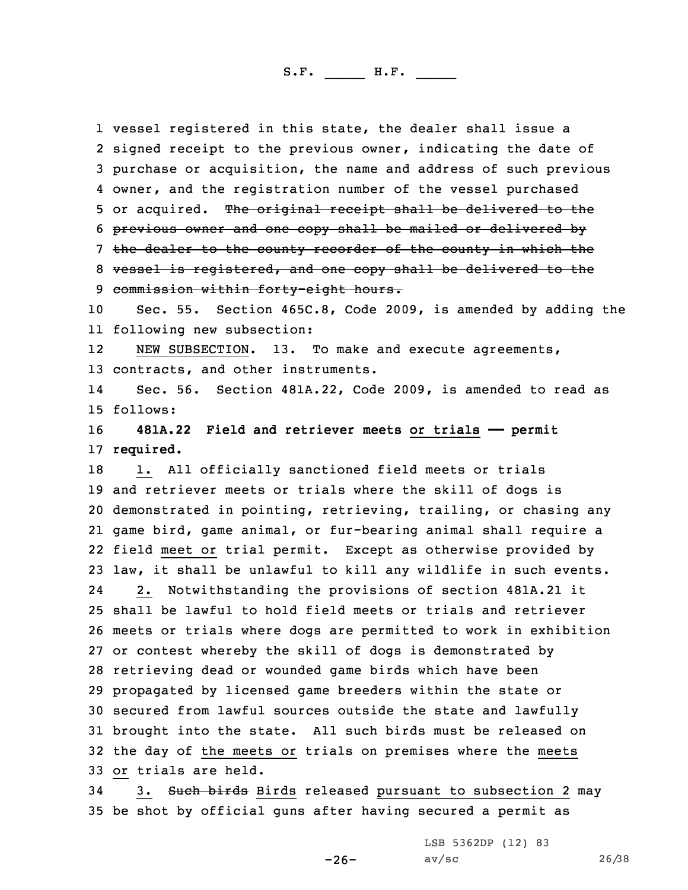vessel registered in this state, the dealer shall issue <sup>a</sup> signed receipt to the previous owner, indicating the date of purchase or acquisition, the name and address of such previous owner, and the registration number of the vessel purchased 5 or acquired. The original receipt shall be delivered to the previous owner and one copy shall be mailed or delivered by 7 the dealer to the county recorder of the county in which the vessel is registered, and one copy shall be delivered to the commission within forty-eight hours. Sec. 55. Section 465C.8, Code 2009, is amended by adding the following new subsection: 12 NEW SUBSECTION. 13. To make and execute agreements, contracts, and other instruments. 14 Sec. 56. Section 481A.22, Code 2009, is amended to read as 15 follows: **481A.22 Field and retriever meets or trials —— permit required.** 18 1. All officially sanctioned field meets or trials and retriever meets or trials where the skill of dogs is demonstrated in pointing, retrieving, trailing, or chasing any game bird, game animal, or fur-bearing animal shall require <sup>a</sup> field meet or trial permit. Except as otherwise provided by law, it shall be unlawful to kill any wildlife in such events. 24 2. Notwithstanding the provisions of section 481A.21 it shall be lawful to hold field meets or trials and retriever meets or trials where dogs are permitted to work in exhibition or contest whereby the skill of dogs is demonstrated by retrieving dead or wounded game birds which have been propagated by licensed game breeders within the state or secured from lawful sources outside the state and lawfully brought into the state. All such birds must be released on the day of the meets or trials on premises where the meets or trials are held.

34 3. Such birds Birds released pursuant to subsection 2 may 35 be shot by official guns after having secured <sup>a</sup> permit as

LSB 5362DP (12) 83

-26-

av/sc 26/38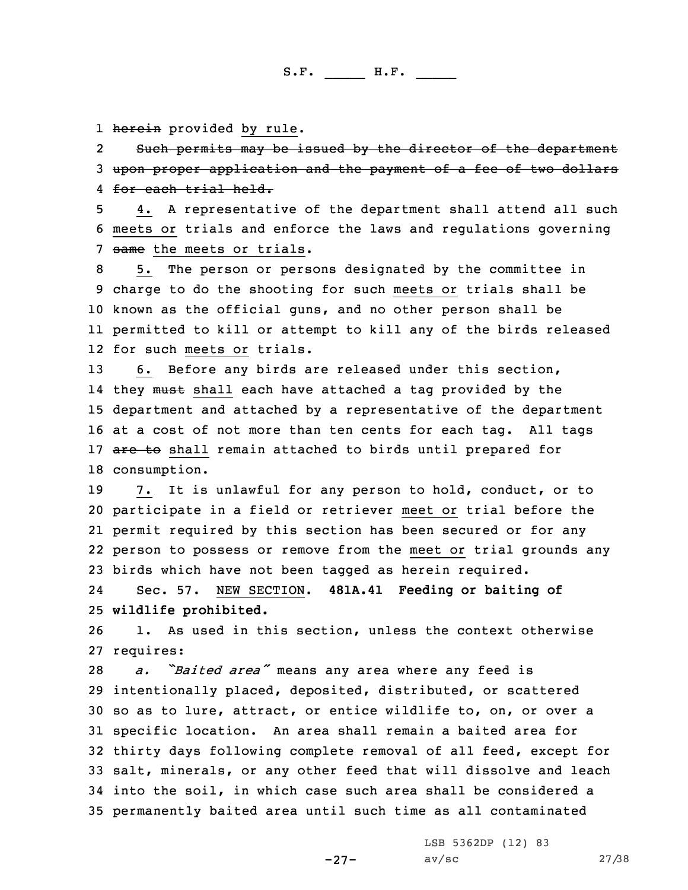1 <del>herein</del> provided by rule.

2 Such permits may be issued by the director of the department 3 upon proper application and the payment of <sup>a</sup> fee of two dollars 4 for each trial held.

5 4. <sup>A</sup> representative of the department shall attend all such 6 meets or trials and enforce the laws and regulations governing 7 same the meets or trials.

 5. The person or persons designated by the committee in charge to do the shooting for such meets or trials shall be known as the official guns, and no other person shall be permitted to kill or attempt to kill any of the birds released for such meets or trials.

 6. Before any birds are released under this section, 14 they <del>must</del> shall each have attached a tag provided by the department and attached by <sup>a</sup> representative of the department at <sup>a</sup> cost of not more than ten cents for each tag. All tags 17 are to shall remain attached to birds until prepared for consumption.

 7. It is unlawful for any person to hold, conduct, or to participate in <sup>a</sup> field or retriever meet or trial before the permit required by this section has been secured or for any person to possess or remove from the meet or trial grounds any birds which have not been tagged as herein required.

24 Sec. 57. NEW SECTION. **481A.41 Feeding or baiting of** 25 **wildlife prohibited.**

26 1. As used in this section, unless the context otherwise 27 requires:

 *a. "Baited area"* means any area where any feed is intentionally placed, deposited, distributed, or scattered so as to lure, attract, or entice wildlife to, on, or over <sup>a</sup> specific location. An area shall remain <sup>a</sup> baited area for thirty days following complete removal of all feed, except for salt, minerals, or any other feed that will dissolve and leach into the soil, in which case such area shall be considered <sup>a</sup> permanently baited area until such time as all contaminated

> LSB 5362DP (12) 83 av/sc 27/38

-27-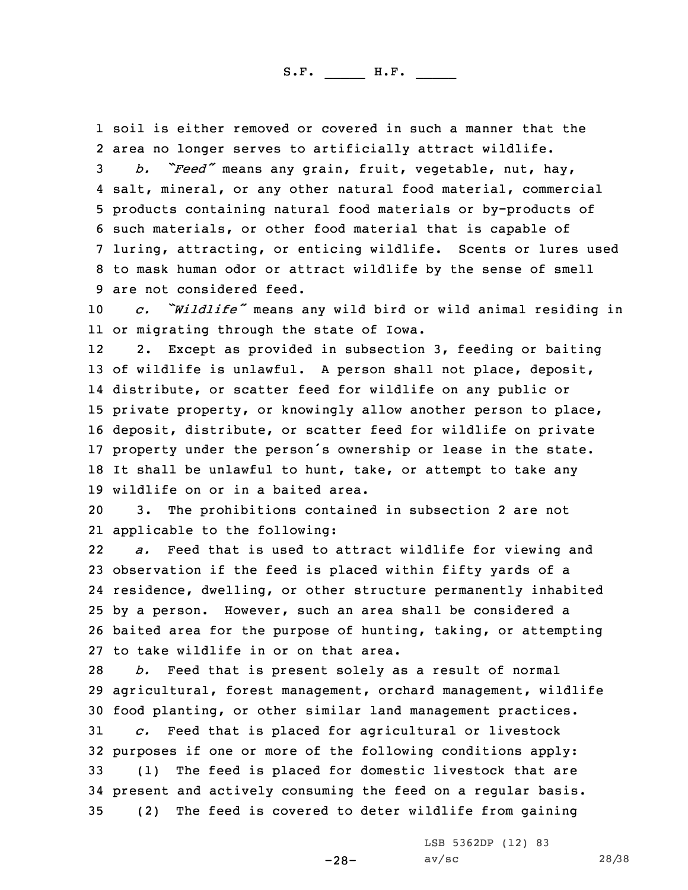1 soil is either removed or covered in such <sup>a</sup> manner that the 2 area no longer serves to artificially attract wildlife.

 *b. "Feed"* means any grain, fruit, vegetable, nut, hay, salt, mineral, or any other natural food material, commercial products containing natural food materials or by-products of such materials, or other food material that is capable of luring, attracting, or enticing wildlife. Scents or lures used to mask human odor or attract wildlife by the sense of smell are not considered feed.

<sup>10</sup> *c. "Wildlife"* means any wild bird or wild animal residing in 11 or migrating through the state of Iowa.

12 2. Except as provided in subsection 3, feeding or baiting of wildlife is unlawful. <sup>A</sup> person shall not place, deposit, distribute, or scatter feed for wildlife on any public or private property, or knowingly allow another person to place, deposit, distribute, or scatter feed for wildlife on private property under the person's ownership or lease in the state. It shall be unlawful to hunt, take, or attempt to take any wildlife on or in <sup>a</sup> baited area.

20 3. The prohibitions contained in subsection 2 are not 21 applicable to the following:

22 *a.* Feed that is used to attract wildlife for viewing and observation if the feed is placed within fifty yards of <sup>a</sup> residence, dwelling, or other structure permanently inhabited by <sup>a</sup> person. However, such an area shall be considered <sup>a</sup> baited area for the purpose of hunting, taking, or attempting to take wildlife in or on that area.

 *b.* Feed that is present solely as <sup>a</sup> result of normal agricultural, forest management, orchard management, wildlife food planting, or other similar land management practices. *c.* Feed that is placed for agricultural or livestock purposes if one or more of the following conditions apply: (1) The feed is placed for domestic livestock that are present and actively consuming the feed on <sup>a</sup> regular basis. (2) The feed is covered to deter wildlife from gaining

LSB 5362DP (12) 83

-28-

av/sc 28/38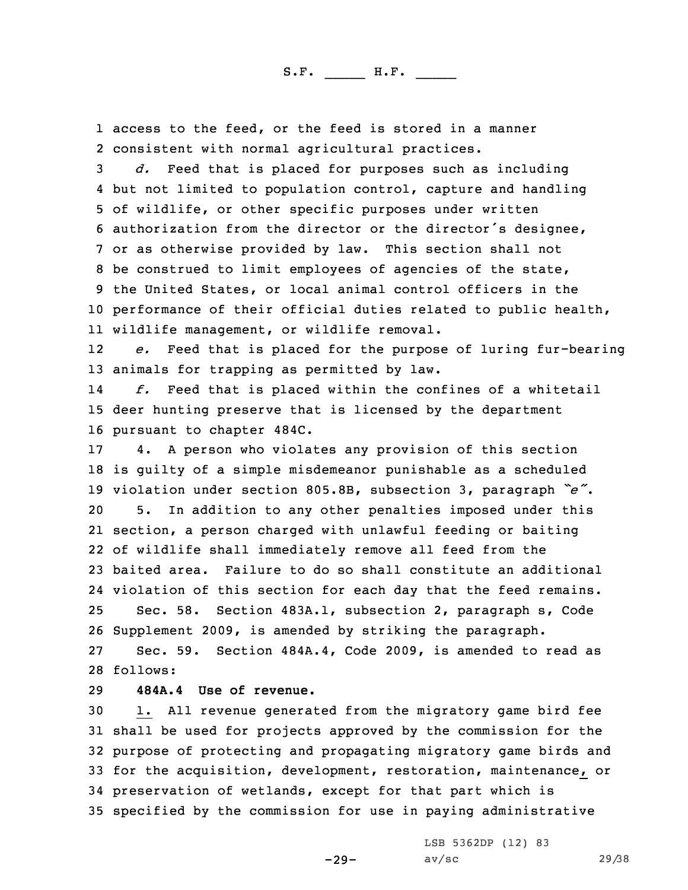1 access to the feed, or the feed is stored in <sup>a</sup> manner 2 consistent with normal agricultural practices.

 *d.* Feed that is placed for purposes such as including but not limited to population control, capture and handling of wildlife, or other specific purposes under written authorization from the director or the director's designee, or as otherwise provided by law. This section shall not be construed to limit employees of agencies of the state, the United States, or local animal control officers in the performance of their official duties related to public health, wildlife management, or wildlife removal.

12 *e.* Feed that is placed for the purpose of luring fur-bearing 13 animals for trapping as permitted by law.

14 *f.* Feed that is placed within the confines of <sup>a</sup> whitetail 15 deer hunting preserve that is licensed by the department 16 pursuant to chapter 484C.

 4. <sup>A</sup> person who violates any provision of this section is guilty of <sup>a</sup> simple misdemeanor punishable as <sup>a</sup> scheduled violation under section 805.8B, subsection 3, paragraph *"e"*. 5. In addition to any other penalties imposed under this section, <sup>a</sup> person charged with unlawful feeding or baiting of wildlife shall immediately remove all feed from the baited area. Failure to do so shall constitute an additional violation of this section for each day that the feed remains. Sec. 58. Section 483A.1, subsection 2, paragraph s, Code Supplement 2009, is amended by striking the paragraph. Sec. 59. Section 484A.4, Code 2009, is amended to read as 28 follows:

29 **484A.4 Use of revenue.**

 1. All revenue generated from the migratory game bird fee shall be used for projects approved by the commission for the purpose of protecting and propagating migratory game birds and for the acquisition, development, restoration, maintenance, or preservation of wetlands, except for that part which is specified by the commission for use in paying administrative

-29-

LSB 5362DP (12) 83 av/sc 29/38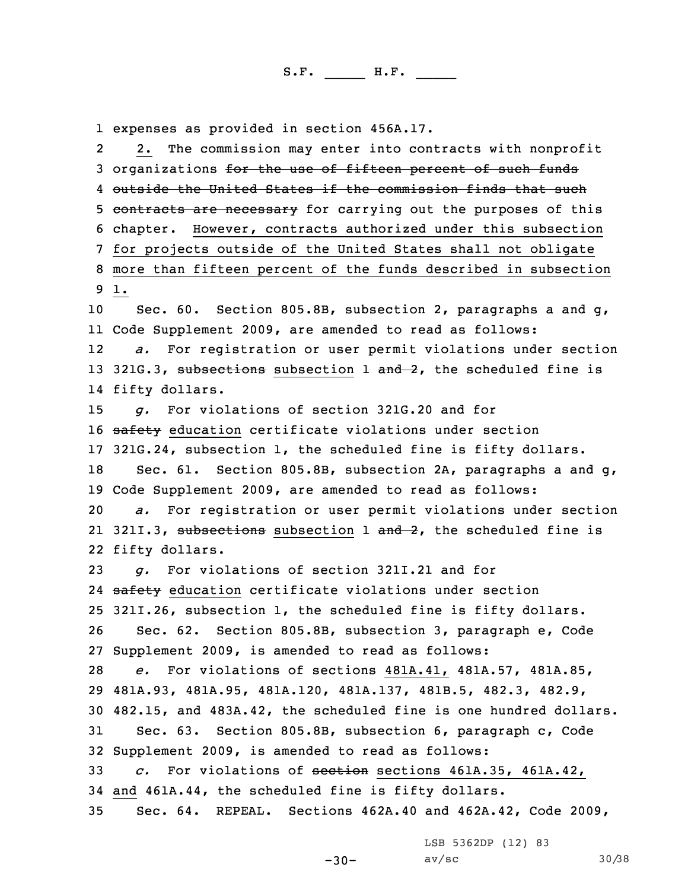1 expenses as provided in section 456A.17.

2 2. The commission may enter into contracts with nonprofit 3 organizations for the use of fifteen percent of such funds outside the United States if the commission finds that such 5 contracts are necessary for carrying out the purposes of this chapter. However, contracts authorized under this subsection for projects outside of the United States shall not obligate more than fifteen percent of the funds described in subsection 9 1. Sec. 60. Section 805.8B, subsection 2, paragraphs <sup>a</sup> and g, Code Supplement 2009, are amended to read as follows: 12 *a.* For registration or user permit violations under section 13 321G.3, subsections subsection 1 and 2, the scheduled fine is fifty dollars. *g.* For violations of section 321G.20 and for 16 safety education certificate violations under section 321G.24, subsection 1, the scheduled fine is fifty dollars. Sec. 61. Section 805.8B, subsection 2A, paragraphs <sup>a</sup> and g, Code Supplement 2009, are amended to read as follows: *a.* For registration or user permit violations under section 21 321I.3, subsections subsection 1 and 2, the scheduled fine is fifty dollars. *g.* For violations of section 321I.21 and for 24 safety education certificate violations under section 321I.26, subsection 1, the scheduled fine is fifty dollars. Sec. 62. Section 805.8B, subsection 3, paragraph e, Code Supplement 2009, is amended to read as follows: *e.* For violations of sections 481A.41, 481A.57, 481A.85, 481A.93, 481A.95, 481A.120, 481A.137, 481B.5, 482.3, 482.9, 482.15, and 483A.42, the scheduled fine is one hundred dollars. Sec. 63. Section 805.8B, subsection 6, paragraph c, Code Supplement 2009, is amended to read as follows: *c.* For violations of section sections 461A.35, 461A.42, and 461A.44, the scheduled fine is fifty dollars. Sec. 64. REPEAL. Sections 462A.40 and 462A.42, Code 2009,

LSB 5362DP (12) 83

-30-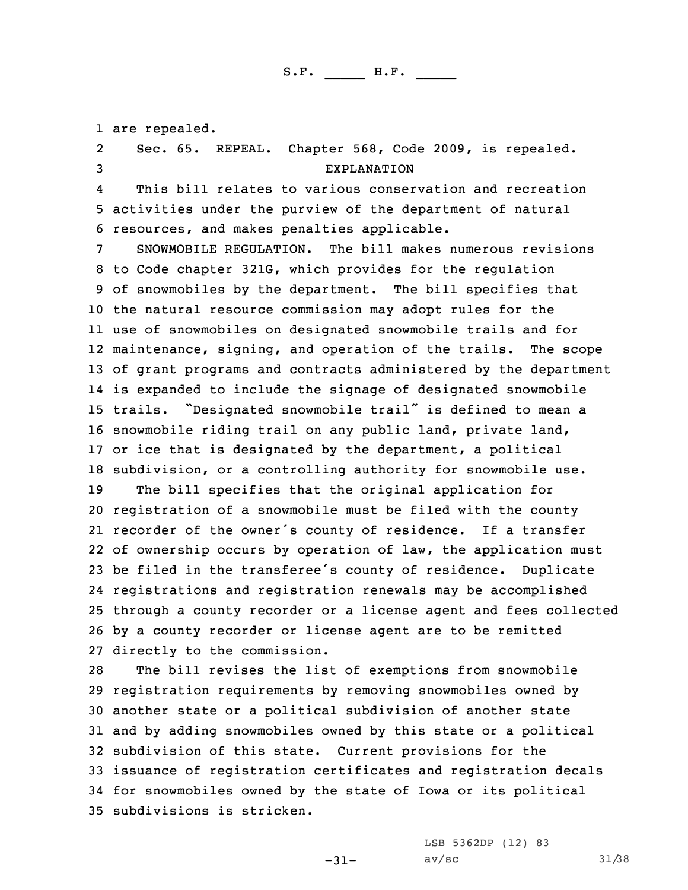are repealed. 2 Sec. 65. REPEAL. Chapter 568, Code 2009, is repealed. EXPLANATION 4 This bill relates to various conservation and recreation activities under the purview of the department of natural resources, and makes penalties applicable. SNOWMOBILE REGULATION. The bill makes numerous revisions to Code chapter 321G, which provides for the regulation of snowmobiles by the department. The bill specifies that the natural resource commission may adopt rules for the use of snowmobiles on designated snowmobile trails and for maintenance, signing, and operation of the trails. The scope of grant programs and contracts administered by the department is expanded to include the signage of designated snowmobile trails. "Designated snowmobile trail" is defined to mean <sup>a</sup> snowmobile riding trail on any public land, private land, or ice that is designated by the department, <sup>a</sup> political subdivision, or <sup>a</sup> controlling authority for snowmobile use. The bill specifies that the original application for registration of <sup>a</sup> snowmobile must be filed with the county recorder of the owner's county of residence. If <sup>a</sup> transfer of ownership occurs by operation of law, the application must be filed in the transferee's county of residence. Duplicate registrations and registration renewals may be accomplished through <sup>a</sup> county recorder or <sup>a</sup> license agent and fees collected by <sup>a</sup> county recorder or license agent are to be remitted directly to the commission. The bill revises the list of exemptions from snowmobile

 registration requirements by removing snowmobiles owned by another state or <sup>a</sup> political subdivision of another state and by adding snowmobiles owned by this state or <sup>a</sup> political subdivision of this state. Current provisions for the issuance of registration certificates and registration decals for snowmobiles owned by the state of Iowa or its political subdivisions is stricken.

-31-

LSB 5362DP (12) 83 av/sc 31/38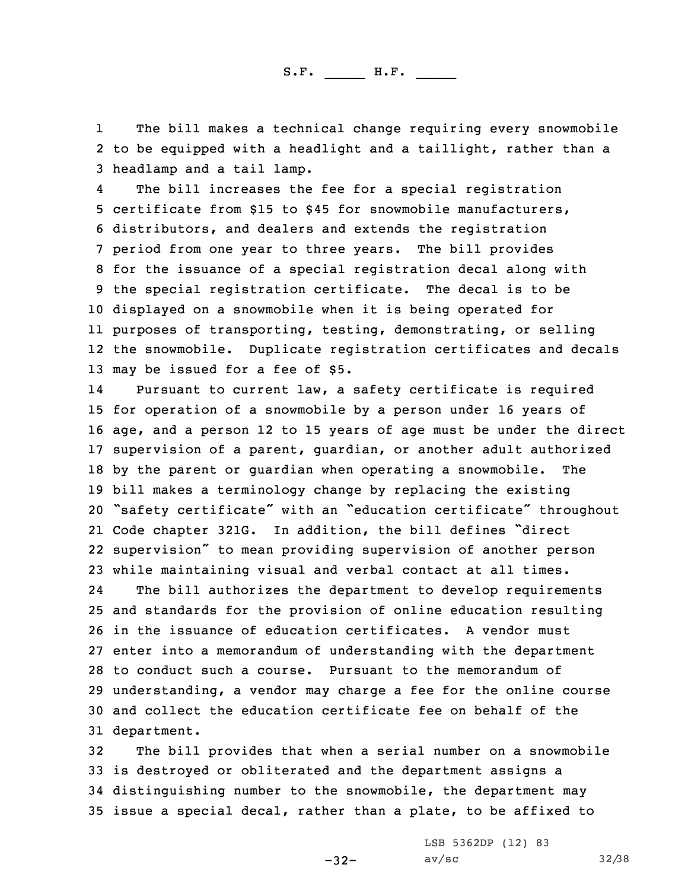1 The bill makes <sup>a</sup> technical change requiring every snowmobile 2 to be equipped with <sup>a</sup> headlight and <sup>a</sup> taillight, rather than <sup>a</sup> 3 headlamp and <sup>a</sup> tail lamp.

4 The bill increases the fee for <sup>a</sup> special registration certificate from \$15 to \$45 for snowmobile manufacturers, distributors, and dealers and extends the registration period from one year to three years. The bill provides for the issuance of <sup>a</sup> special registration decal along with the special registration certificate. The decal is to be displayed on <sup>a</sup> snowmobile when it is being operated for purposes of transporting, testing, demonstrating, or selling the snowmobile. Duplicate registration certificates and decals may be issued for <sup>a</sup> fee of \$5.

14 Pursuant to current law, <sup>a</sup> safety certificate is required for operation of <sup>a</sup> snowmobile by <sup>a</sup> person under 16 years of age, and <sup>a</sup> person 12 to 15 years of age must be under the direct supervision of <sup>a</sup> parent, guardian, or another adult authorized by the parent or guardian when operating <sup>a</sup> snowmobile. The bill makes <sup>a</sup> terminology change by replacing the existing "safety certificate" with an "education certificate" throughout Code chapter 321G. In addition, the bill defines "direct supervision" to mean providing supervision of another person while maintaining visual and verbal contact at all times.

24 The bill authorizes the department to develop requirements and standards for the provision of online education resulting in the issuance of education certificates. A vendor must enter into <sup>a</sup> memorandum of understanding with the department to conduct such a course. Pursuant to the memorandum of understanding, <sup>a</sup> vendor may charge <sup>a</sup> fee for the online course and collect the education certificate fee on behalf of the department.

 The bill provides that when <sup>a</sup> serial number on <sup>a</sup> snowmobile is destroyed or obliterated and the department assigns <sup>a</sup> distinguishing number to the snowmobile, the department may issue <sup>a</sup> special decal, rather than <sup>a</sup> plate, to be affixed to

-32-

LSB 5362DP (12) 83 av/sc 32/38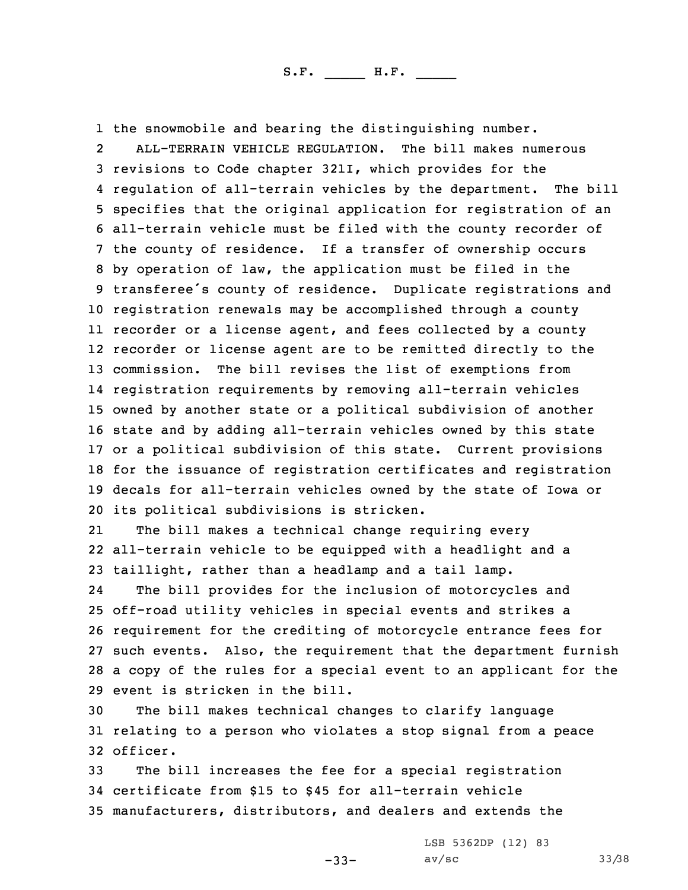1 the snowmobile and bearing the distinguishing number.

2 ALL-TERRAIN VEHICLE REGULATION. The bill makes numerous revisions to Code chapter 321I, which provides for the regulation of all-terrain vehicles by the department. The bill specifies that the original application for registration of an all-terrain vehicle must be filed with the county recorder of the county of residence. If <sup>a</sup> transfer of ownership occurs by operation of law, the application must be filed in the transferee's county of residence. Duplicate registrations and registration renewals may be accomplished through <sup>a</sup> county recorder or <sup>a</sup> license agent, and fees collected by <sup>a</sup> county recorder or license agent are to be remitted directly to the commission. The bill revises the list of exemptions from registration requirements by removing all-terrain vehicles owned by another state or <sup>a</sup> political subdivision of another state and by adding all-terrain vehicles owned by this state or <sup>a</sup> political subdivision of this state. Current provisions for the issuance of registration certificates and registration decals for all-terrain vehicles owned by the state of Iowa or its political subdivisions is stricken.

21The bill makes a technical change requiring every 22 all-terrain vehicle to be equipped with <sup>a</sup> headlight and <sup>a</sup> 23 taillight, rather than <sup>a</sup> headlamp and <sup>a</sup> tail lamp.

24 The bill provides for the inclusion of motorcycles and off-road utility vehicles in special events and strikes <sup>a</sup> requirement for the crediting of motorcycle entrance fees for such events. Also, the requirement that the department furnish <sup>a</sup> copy of the rules for <sup>a</sup> special event to an applicant for the event is stricken in the bill.

30 The bill makes technical changes to clarify language 31 relating to <sup>a</sup> person who violates <sup>a</sup> stop signal from <sup>a</sup> peace 32 officer.

33 The bill increases the fee for <sup>a</sup> special registration 34 certificate from \$15 to \$45 for all-terrain vehicle 35 manufacturers, distributors, and dealers and extends the

LSB 5362DP (12) 83

-33-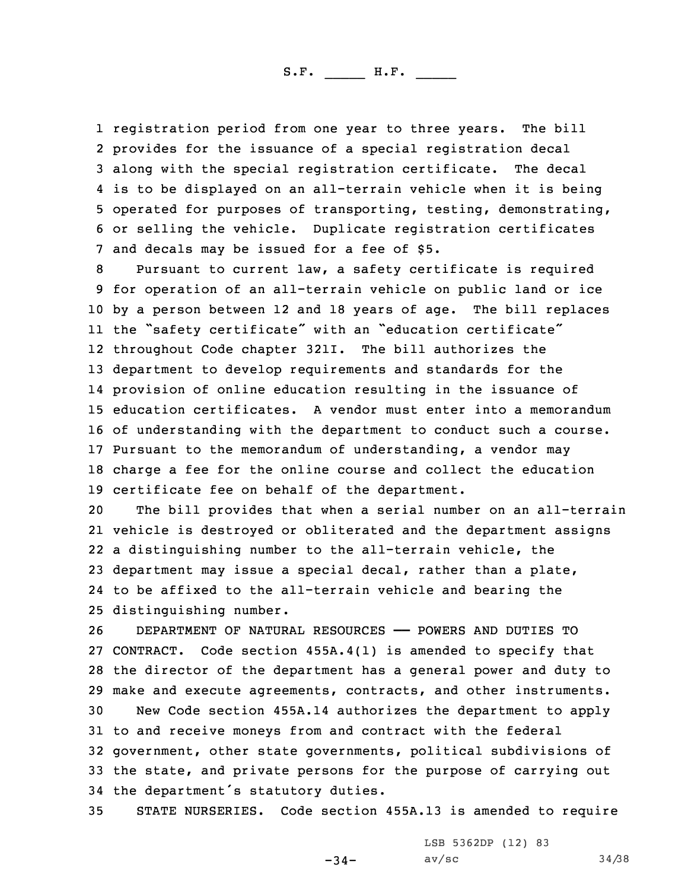registration period from one year to three years. The bill provides for the issuance of <sup>a</sup> special registration decal along with the special registration certificate. The decal is to be displayed on an all-terrain vehicle when it is being operated for purposes of transporting, testing, demonstrating, or selling the vehicle. Duplicate registration certificates and decals may be issued for <sup>a</sup> fee of \$5.

 Pursuant to current law, <sup>a</sup> safety certificate is required for operation of an all-terrain vehicle on public land or ice by <sup>a</sup> person between 12 and 18 years of age. The bill replaces the "safety certificate" with an "education certificate" throughout Code chapter 321I. The bill authorizes the department to develop requirements and standards for the provision of online education resulting in the issuance of education certificates. A vendor must enter into <sup>a</sup> memorandum of understanding with the department to conduct such <sup>a</sup> course. Pursuant to the memorandum of understanding, <sup>a</sup> vendor may charge <sup>a</sup> fee for the online course and collect the education certificate fee on behalf of the department.

 The bill provides that when <sup>a</sup> serial number on an all-terrain vehicle is destroyed or obliterated and the department assigns <sup>a</sup> distinguishing number to the all-terrain vehicle, the department may issue <sup>a</sup> special decal, rather than <sup>a</sup> plate, to be affixed to the all-terrain vehicle and bearing the distinguishing number.

 DEPARTMENT OF NATURAL RESOURCES —— POWERS AND DUTIES TO CONTRACT. Code section 455A.4(1) is amended to specify that the director of the department has <sup>a</sup> general power and duty to make and execute agreements, contracts, and other instruments.

 New Code section 455A.14 authorizes the department to apply to and receive moneys from and contract with the federal government, other state governments, political subdivisions of the state, and private persons for the purpose of carrying out the department's statutory duties.

35 STATE NURSERIES. Code section 455A.13 is amended to require

-34-

LSB 5362DP (12) 83 av/sc  $34/38$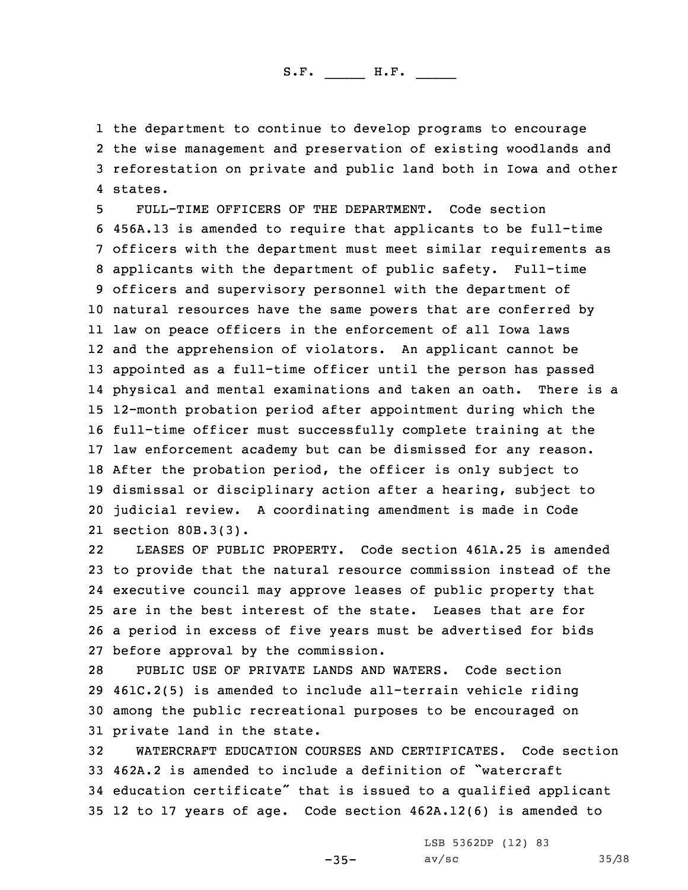the department to continue to develop programs to encourage the wise management and preservation of existing woodlands and reforestation on private and public land both in Iowa and other 4 states.

 FULL-TIME OFFICERS OF THE DEPARTMENT. Code section 456A.13 is amended to require that applicants to be full-time officers with the department must meet similar requirements as applicants with the department of public safety. Full-time officers and supervisory personnel with the department of natural resources have the same powers that are conferred by law on peace officers in the enforcement of all Iowa laws and the apprehension of violators. An applicant cannot be appointed as <sup>a</sup> full-time officer until the person has passed physical and mental examinations and taken an oath. There is <sup>a</sup> 12-month probation period after appointment during which the full-time officer must successfully complete training at the law enforcement academy but can be dismissed for any reason. After the probation period, the officer is only subject to dismissal or disciplinary action after <sup>a</sup> hearing, subject to judicial review. <sup>A</sup> coordinating amendment is made in Code section 80B.3(3).

22 LEASES OF PUBLIC PROPERTY. Code section 461A.25 is amended to provide that the natural resource commission instead of the executive council may approve leases of public property that are in the best interest of the state. Leases that are for <sup>a</sup> period in excess of five years must be advertised for bids before approval by the commission.

 PUBLIC USE OF PRIVATE LANDS AND WATERS. Code section 461C.2(5) is amended to include all-terrain vehicle riding among the public recreational purposes to be encouraged on private land in the state.

 WATERCRAFT EDUCATION COURSES AND CERTIFICATES. Code section 462A.2 is amended to include <sup>a</sup> definition of "watercraft education certificate" that is issued to <sup>a</sup> qualified applicant 12 to 17 years of age. Code section 462A.12(6) is amended to

LSB 5362DP (12) 83

-35-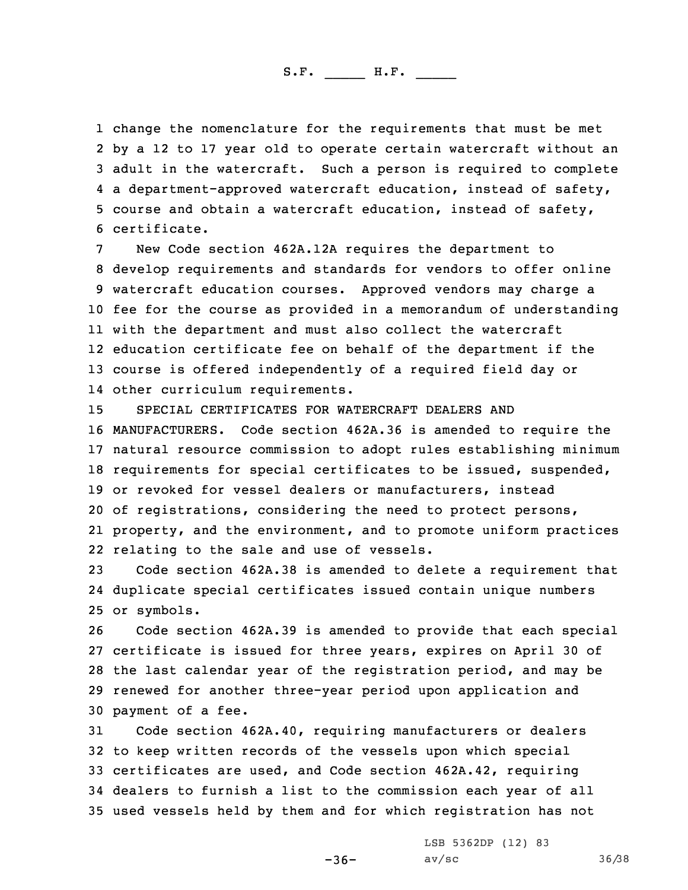change the nomenclature for the requirements that must be met by <sup>a</sup> 12 to 17 year old to operate certain watercraft without an adult in the watercraft. Such <sup>a</sup> person is required to complete <sup>a</sup> department-approved watercraft education, instead of safety, course and obtain <sup>a</sup> watercraft education, instead of safety, certificate.

New Code section 462A.12A requires the department to develop requirements and standards for vendors to offer online watercraft education courses. Approved vendors may charge <sup>a</sup> fee for the course as provided in <sup>a</sup> memorandum of understanding with the department and must also collect the watercraft education certificate fee on behalf of the department if the course is offered independently of <sup>a</sup> required field day or other curriculum requirements.

 SPECIAL CERTIFICATES FOR WATERCRAFT DEALERS AND MANUFACTURERS. Code section 462A.36 is amended to require the natural resource commission to adopt rules establishing minimum requirements for special certificates to be issued, suspended, or revoked for vessel dealers or manufacturers, instead of registrations, considering the need to protect persons, property, and the environment, and to promote uniform practices relating to the sale and use of vessels.

23 Code section 462A.38 is amended to delete <sup>a</sup> requirement that 24 duplicate special certificates issued contain unique numbers 25 or symbols.

 Code section 462A.39 is amended to provide that each special certificate is issued for three years, expires on April 30 of the last calendar year of the registration period, and may be renewed for another three-year period upon application and payment of <sup>a</sup> fee.

 Code section 462A.40, requiring manufacturers or dealers to keep written records of the vessels upon which special certificates are used, and Code section 462A.42, requiring dealers to furnish <sup>a</sup> list to the commission each year of all used vessels held by them and for which registration has not

-36-

LSB 5362DP (12) 83 av/sc 36/38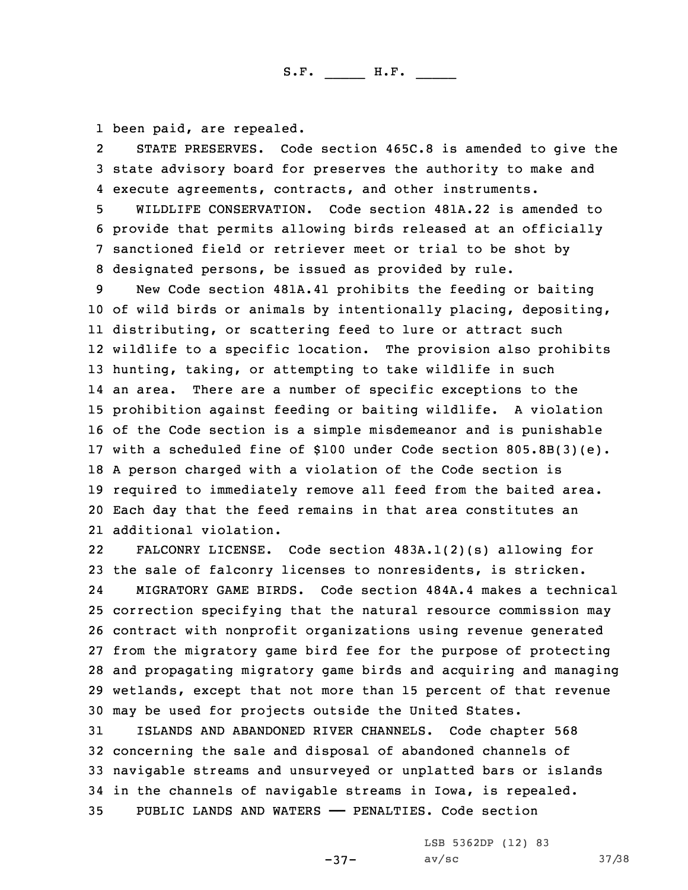1 been paid, are repealed.

2 STATE PRESERVES. Code section 465C.8 is amended to give the 3 state advisory board for preserves the authority to make and 4 execute agreements, contracts, and other instruments.

 WILDLIFE CONSERVATION. Code section 481A.22 is amended to provide that permits allowing birds released at an officially sanctioned field or retriever meet or trial to be shot by designated persons, be issued as provided by rule.

 New Code section 481A.41 prohibits the feeding or baiting of wild birds or animals by intentionally placing, depositing, distributing, or scattering feed to lure or attract such wildlife to <sup>a</sup> specific location. The provision also prohibits hunting, taking, or attempting to take wildlife in such an area. There are <sup>a</sup> number of specific exceptions to the prohibition against feeding or baiting wildlife. <sup>A</sup> violation of the Code section is <sup>a</sup> simple misdemeanor and is punishable with <sup>a</sup> scheduled fine of \$100 under Code section 805.8B(3)(e). <sup>A</sup> person charged with <sup>a</sup> violation of the Code section is required to immediately remove all feed from the baited area. Each day that the feed remains in that area constitutes an additional violation.

22 FALCONRY LICENSE. Code section 483A.1(2)(s) allowing for the sale of falconry licenses to nonresidents, is stricken. 24 MIGRATORY GAME BIRDS. Code section 484A.4 makes <sup>a</sup> technical correction specifying that the natural resource commission may contract with nonprofit organizations using revenue generated from the migratory game bird fee for the purpose of protecting and propagating migratory game birds and acquiring and managing wetlands, except that not more than 15 percent of that revenue may be used for projects outside the United States.

 ISLANDS AND ABANDONED RIVER CHANNELS. Code chapter 568 concerning the sale and disposal of abandoned channels of navigable streams and unsurveyed or unplatted bars or islands in the channels of navigable streams in Iowa, is repealed. PUBLIC LANDS AND WATERS —— PENALTIES. Code section

LSB 5362DP (12) 83

-37-